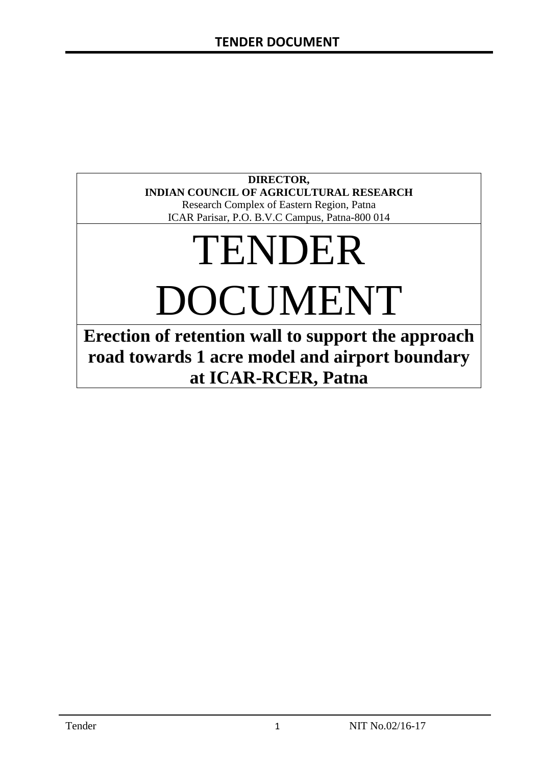### **DIRECTOR, INDIAN COUNCIL OF AGRICULTURAL RESEARCH**

Research Complex of Eastern Region, Patna ICAR Parisar, P.O. B.V.C Campus, Patna-800 014

# TENDER DOCUMENT

**Erection of retention wall to support the approach road towards 1 acre model and airport boundary at ICAR-RCER, Patna**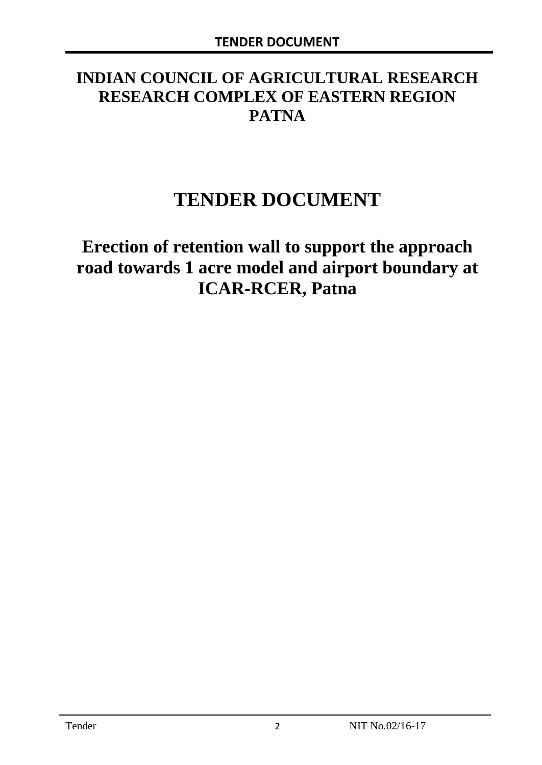# **INDIAN COUNCIL OF AGRICULTURAL RESEARCH RESEARCH COMPLEX OF EASTERN REGION PATNA**

# **TENDER DOCUMENT**

# **Erection of retention wall to support the approach road towards 1 acre model and airport boundary at ICAR-RCER, Patna**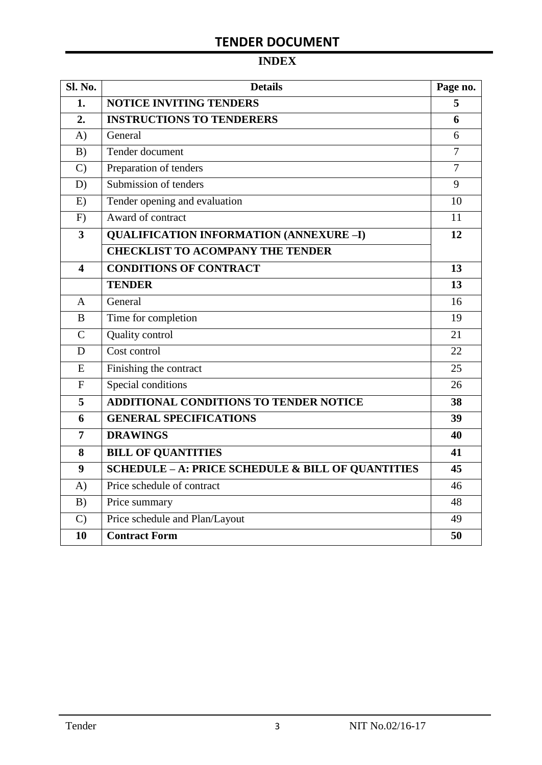# **INDEX**

| <b>Sl. No.</b> | <b>Details</b>                                    | Page no.       |
|----------------|---------------------------------------------------|----------------|
| 1.             | <b>NOTICE INVITING TENDERS</b>                    | 5              |
| 2.             | <b>INSTRUCTIONS TO TENDERERS</b>                  | 6              |
| A)             | General                                           | 6              |
| B)             | Tender document                                   | $\overline{7}$ |
| $\mathcal{C}$  | Preparation of tenders                            | $\overline{7}$ |
| D)             | Submission of tenders                             | 9              |
| E)             | Tender opening and evaluation                     | 10             |
| F)             | Award of contract                                 | 11             |
| 3              | <b>QUALIFICATION INFORMATION (ANNEXURE-I)</b>     | 12             |
|                | <b>CHECKLIST TO ACOMPANY THE TENDER</b>           |                |
| 4              | <b>CONDITIONS OF CONTRACT</b>                     | 13             |
|                | <b>TENDER</b>                                     | 13             |
| A              | General                                           | 16             |
| B              | Time for completion                               | 19             |
| $\overline{C}$ | Quality control                                   | 21             |
| D              | Cost control                                      | 22             |
| E              | Finishing the contract                            | 25             |
| $\overline{F}$ | Special conditions                                | 26             |
| 5              | ADDITIONAL CONDITIONS TO TENDER NOTICE            | 38             |
| 6              | <b>GENERAL SPECIFICATIONS</b>                     | 39             |
| $\overline{7}$ | <b>DRAWINGS</b>                                   | 40             |
| 8              | <b>BILL OF QUANTITIES</b>                         | 41             |
| 9              | SCHEDULE - A: PRICE SCHEDULE & BILL OF QUANTITIES | 45             |
| A)             | Price schedule of contract                        | 46             |
| B)             | Price summary                                     | 48             |
| $\mathcal{C}$  | Price schedule and Plan/Layout                    | 49             |
| 10             | <b>Contract Form</b>                              | 50             |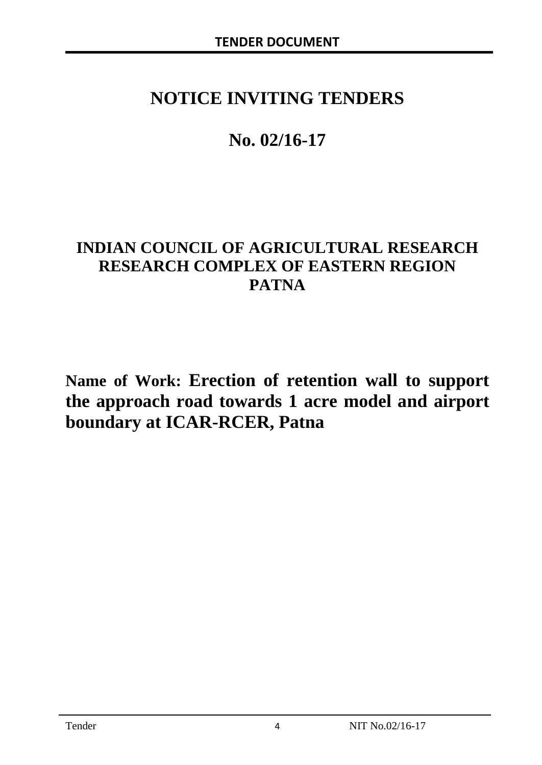# **NOTICE INVITING TENDERS**

# **No. 02/16-17**

# **INDIAN COUNCIL OF AGRICULTURAL RESEARCH RESEARCH COMPLEX OF EASTERN REGION PATNA**

**Name of Work: Erection of retention wall to support the approach road towards 1 acre model and airport boundary at ICAR-RCER, Patna**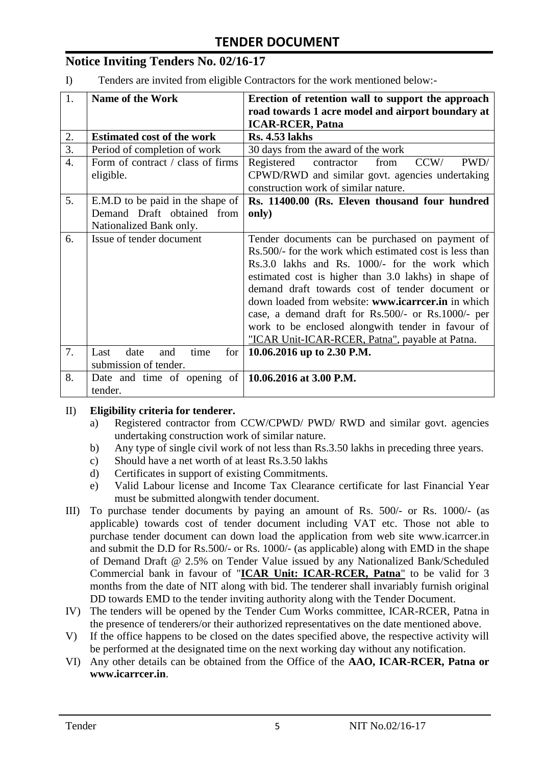# **Notice Inviting Tenders No. 02/16-17**

I) Tenders are invited from eligible Contractors for the work mentioned below:-

| 1.               | <b>Name of the Work</b>                                     | Erection of retention wall to support the approach       |
|------------------|-------------------------------------------------------------|----------------------------------------------------------|
|                  |                                                             | road towards 1 acre model and airport boundary at        |
|                  |                                                             | <b>ICAR-RCER, Patna</b>                                  |
| 2.               | <b>Estimated cost of the work</b>                           | <b>Rs. 4.53 lakhs</b>                                    |
| $\overline{3}$ . | Period of completion of work                                | 30 days from the award of the work                       |
| $\overline{4}$ . | Form of contract / class of firms                           | Registered<br>contractor<br>CCW/<br>PWD/<br>from         |
|                  | eligible.                                                   | CPWD/RWD and similar govt. agencies undertaking          |
|                  |                                                             | construction work of similar nature.                     |
| 5.               | E.M.D to be paid in the shape of                            | Rs. 11400.00 (Rs. Eleven thousand four hundred           |
|                  | Demand Draft obtained from                                  | only)                                                    |
|                  | Nationalized Bank only.                                     |                                                          |
| 6.               | Issue of tender document                                    | Tender documents can be purchased on payment of          |
|                  |                                                             | Rs. 500/- for the work which estimated cost is less than |
|                  |                                                             | Rs.3.0 lakhs and Rs. 1000/- for the work which           |
|                  |                                                             | estimated cost is higher than 3.0 lakhs) in shape of     |
|                  |                                                             | demand draft towards cost of tender document or          |
|                  |                                                             | down loaded from website: www.icarreer.in in which       |
|                  |                                                             | case, a demand draft for Rs.500/- or Rs.1000/- per       |
|                  |                                                             | work to be enclosed alongwith tender in favour of        |
|                  |                                                             | "ICAR Unit-ICAR-RCER, Patna", payable at Patna.          |
| 7.               | date<br>for<br>Last<br>time<br>and                          | 10.06.2016 up to 2.30 P.M.                               |
|                  | submission of tender.                                       |                                                          |
| 8.               | Date and time of opening of $\vert$ 10.06.2016 at 3.00 P.M. |                                                          |
|                  | tender.                                                     |                                                          |

#### II) **Eligibility criteria for tenderer.**

- a) Registered contractor from CCW/CPWD/ PWD/ RWD and similar govt. agencies undertaking construction work of similar nature.
- b) Any type of single civil work of not less than Rs.3.50 lakhs in preceding three years.
- c) Should have a net worth of at least Rs.3.50 lakhs
- d) Certificates in support of existing Commitments.
- e) Valid Labour license and Income Tax Clearance certificate for last Financial Year must be submitted alongwith tender document.
- III) To purchase tender documents by paying an amount of Rs. 500/- or Rs. 1000/- (as applicable) towards cost of tender document including VAT etc. Those not able to purchase tender document can down load the application from web site www.icarrcer.in and submit the D.D for Rs.500/- or Rs. 1000/- (as applicable) along with EMD in the shape of Demand Draft @ 2.5% on Tender Value issued by any Nationalized Bank/Scheduled Commercial bank in favour of "**ICAR Unit: ICAR-RCER, Patna**" to be valid for 3 months from the date of NIT along with bid. The tenderer shall invariably furnish original DD towards EMD to the tender inviting authority along with the Tender Document.
- IV) The tenders will be opened by the Tender Cum Works committee, ICAR-RCER, Patna in the presence of tenderers/or their authorized representatives on the date mentioned above.
- V) If the office happens to be closed on the dates specified above, the respective activity will be performed at the designated time on the next working day without any notification.
- VI) Any other details can be obtained from the Office of the **AAO, ICAR-RCER, Patna or www.icarrcer.in**.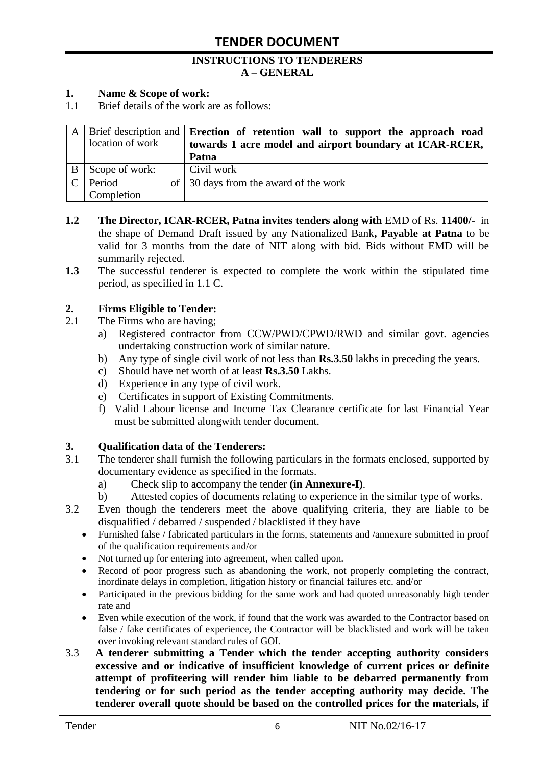#### **INSTRUCTIONS TO TENDERERS A – GENERAL**

#### **1. Name & Scope of work:**

1.1 Brief details of the work are as follows:

|               | location of work | A   Brief description and   Erection of retention wall to support the approach road<br>towards 1 acre model and airport boundary at ICAR-RCER, |
|---------------|------------------|------------------------------------------------------------------------------------------------------------------------------------------------|
|               |                  | Patna                                                                                                                                          |
|               | Scope of work:   | Civil work                                                                                                                                     |
| $\mathcal{C}$ | Period           | of 30 days from the award of the work                                                                                                          |
|               | Completion       |                                                                                                                                                |

- **1.2 The Director, ICAR-RCER, Patna invites tenders along with** EMD of Rs. **11400/-** in the shape of Demand Draft issued by any Nationalized Bank**, Payable at Patna** to be valid for 3 months from the date of NIT along with bid. Bids without EMD will be summarily rejected.
- **1.3** The successful tenderer is expected to complete the work within the stipulated time period, as specified in 1.1 C.

#### **2. Firms Eligible to Tender:**

- 2.1 The Firms who are having;
	- a) Registered contractor from CCW/PWD/CPWD/RWD and similar govt. agencies undertaking construction work of similar nature.
	- b) Any type of single civil work of not less than **Rs.3.50** lakhs in preceding the years.
	- c) Should have net worth of at least **Rs.3.50** Lakhs.
	- d) Experience in any type of civil work.
	- e) Certificates in support of Existing Commitments.
	- f) Valid Labour license and Income Tax Clearance certificate for last Financial Year must be submitted alongwith tender document.

#### **3. Qualification data of the Tenderers:**

- 3.1 The tenderer shall furnish the following particulars in the formats enclosed, supported by documentary evidence as specified in the formats.
	- a) Check slip to accompany the tender **(in Annexure-I)**.
	- b) Attested copies of documents relating to experience in the similar type of works.
- 3.2 Even though the tenderers meet the above qualifying criteria, they are liable to be disqualified / debarred / suspended / blacklisted if they have
	- Furnished false / fabricated particulars in the forms, statements and /annexure submitted in proof of the qualification requirements and/or
	- Not turned up for entering into agreement, when called upon.
	- Record of poor progress such as abandoning the work, not properly completing the contract, inordinate delays in completion, litigation history or financial failures etc. and/or
	- Participated in the previous bidding for the same work and had quoted unreasonably high tender rate and
	- Even while execution of the work, if found that the work was awarded to the Contractor based on false / fake certificates of experience, the Contractor will be blacklisted and work will be taken over invoking relevant standard rules of GOI.
- 3.3 **A tenderer submitting a Tender which the tender accepting authority considers excessive and or indicative of insufficient knowledge of current prices or definite attempt of profiteering will render him liable to be debarred permanently from tendering or for such period as the tender accepting authority may decide. The tenderer overall quote should be based on the controlled prices for the materials, if**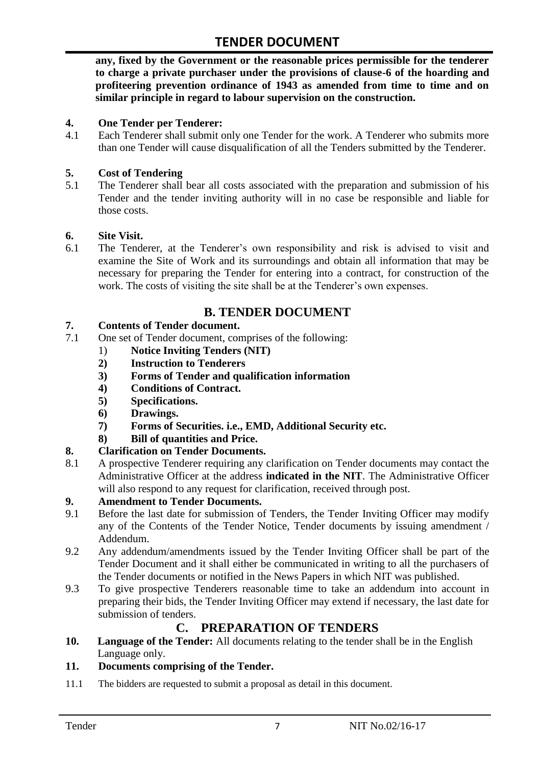**any, fixed by the Government or the reasonable prices permissible for the tenderer to charge a private purchaser under the provisions of clause-6 of the hoarding and profiteering prevention ordinance of 1943 as amended from time to time and on similar principle in regard to labour supervision on the construction.**

#### **4. One Tender per Tenderer:**

4.1 Each Tenderer shall submit only one Tender for the work. A Tenderer who submits more than one Tender will cause disqualification of all the Tenders submitted by the Tenderer.

#### **5. Cost of Tendering**

5.1 The Tenderer shall bear all costs associated with the preparation and submission of his Tender and the tender inviting authority will in no case be responsible and liable for those costs.

#### **6. Site Visit.**

6.1 The Tenderer, at the Tenderer"s own responsibility and risk is advised to visit and examine the Site of Work and its surroundings and obtain all information that may be necessary for preparing the Tender for entering into a contract, for construction of the work. The costs of visiting the site shall be at the Tenderer's own expenses.

# **B. TENDER DOCUMENT**

#### **7. Contents of Tender document.**

- 7.1 One set of Tender document, comprises of the following:
	- 1) **Notice Inviting Tenders (NIT)**
	- **2) Instruction to Tenderers**
	- **3) Forms of Tender and qualification information**
	- **4) Conditions of Contract.**
	- **5) Specifications.**
	- **6) Drawings.**
	- **7) Forms of Securities. i.e., EMD, Additional Security etc.**
	- **8) Bill of quantities and Price.**

#### **8. Clarification on Tender Documents.**

8.1 A prospective Tenderer requiring any clarification on Tender documents may contact the Administrative Officer at the address **indicated in the NIT**. The Administrative Officer will also respond to any request for clarification, received through post.

#### **9. Amendment to Tender Documents.**

- 9.1 Before the last date for submission of Tenders, the Tender Inviting Officer may modify any of the Contents of the Tender Notice, Tender documents by issuing amendment / Addendum.
- 9.2 Any addendum/amendments issued by the Tender Inviting Officer shall be part of the Tender Document and it shall either be communicated in writing to all the purchasers of the Tender documents or notified in the News Papers in which NIT was published.
- 9.3 To give prospective Tenderers reasonable time to take an addendum into account in preparing their bids, the Tender Inviting Officer may extend if necessary, the last date for submission of tenders.

### **C. PREPARATION OF TENDERS**

**10. Language of the Tender:** All documents relating to the tender shall be in the English Language only.

#### **11. Documents comprising of the Tender.**

11.1 The bidders are requested to submit a proposal as detail in this document.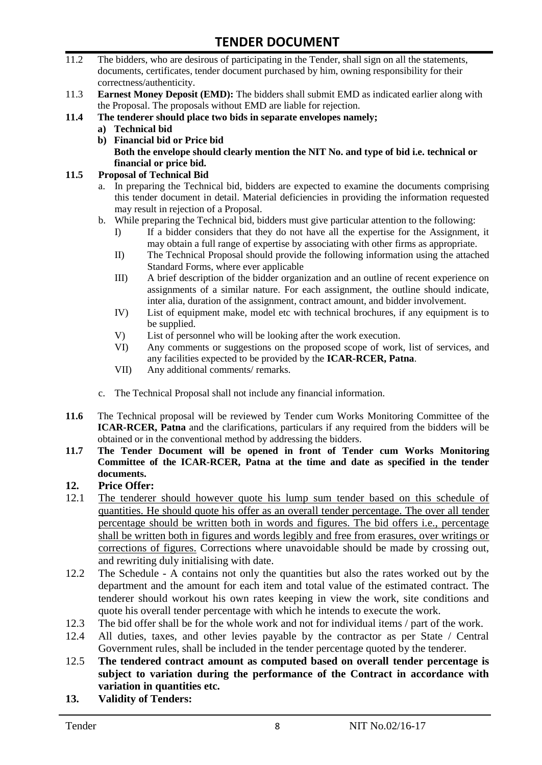- 11.2 The bidders, who are desirous of participating in the Tender, shall sign on all the statements, documents, certificates, tender document purchased by him, owning responsibility for their correctness/authenticity.
- 11.3 **Earnest Money Deposit (EMD):** The bidders shall submit EMD as indicated earlier along with the Proposal. The proposals without EMD are liable for rejection.
- **11.4 The tenderer should place two bids in separate envelopes namely;**
	- **a) Technical bid**
	- **b) Financial bid or Price bid Both the envelope should clearly mention the NIT No. and type of bid i.e. technical or financial or price bid.**

#### **11.5 Proposal of Technical Bid**

- a. In preparing the Technical bid, bidders are expected to examine the documents comprising this tender document in detail. Material deficiencies in providing the information requested may result in rejection of a Proposal.
- b. While preparing the Technical bid, bidders must give particular attention to the following:
	- I) If a bidder considers that they do not have all the expertise for the Assignment, it may obtain a full range of expertise by associating with other firms as appropriate.
	- II) The Technical Proposal should provide the following information using the attached Standard Forms, where ever applicable
	- III) A brief description of the bidder organization and an outline of recent experience on assignments of a similar nature. For each assignment, the outline should indicate, inter alia, duration of the assignment, contract amount, and bidder involvement.
	- IV) List of equipment make, model etc with technical brochures, if any equipment is to be supplied.
	- V) List of personnel who will be looking after the work execution.
	- VI) Any comments or suggestions on the proposed scope of work, list of services, and any facilities expected to be provided by the **ICAR-RCER, Patna**.
	- VII) Any additional comments/ remarks.
- c. The Technical Proposal shall not include any financial information.
- **11.6** The Technical proposal will be reviewed by Tender cum Works Monitoring Committee of the **ICAR-RCER, Patna** and the clarifications, particulars if any required from the bidders will be obtained or in the conventional method by addressing the bidders.
- **11.7 The Tender Document will be opened in front of Tender cum Works Monitoring Committee of the ICAR-RCER, Patna at the time and date as specified in the tender documents.**

#### **12. Price Offer:**

- 12.1 The tenderer should however quote his lump sum tender based on this schedule of quantities. He should quote his offer as an overall tender percentage. The over all tender percentage should be written both in words and figures. The bid offers i.e., percentage shall be written both in figures and words legibly and free from erasures, over writings or corrections of figures. Corrections where unavoidable should be made by crossing out, and rewriting duly initialising with date.
- 12.2 The Schedule A contains not only the quantities but also the rates worked out by the department and the amount for each item and total value of the estimated contract. The tenderer should workout his own rates keeping in view the work, site conditions and quote his overall tender percentage with which he intends to execute the work.
- 12.3 The bid offer shall be for the whole work and not for individual items / part of the work.
- 12.4 All duties, taxes, and other levies payable by the contractor as per State / Central Government rules, shall be included in the tender percentage quoted by the tenderer.
- 12.5 **The tendered contract amount as computed based on overall tender percentage is subject to variation during the performance of the Contract in accordance with variation in quantities etc.**
- **13. Validity of Tenders:**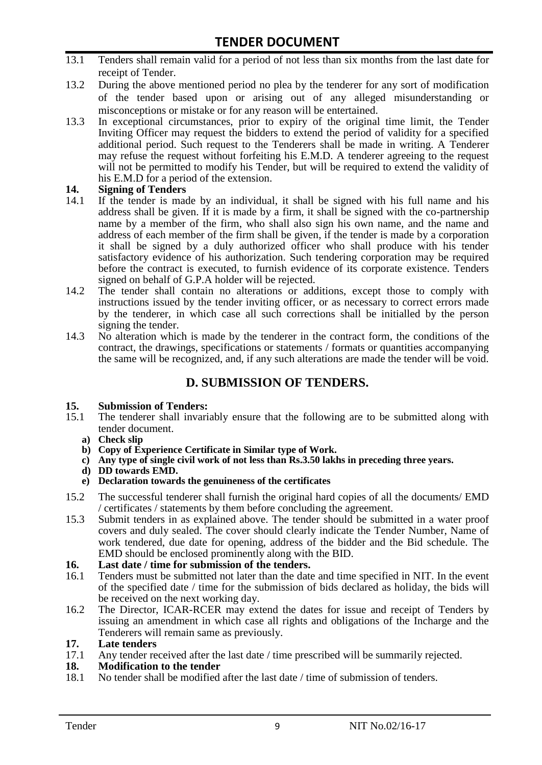- 13.1 Tenders shall remain valid for a period of not less than six months from the last date for receipt of Tender.
- 13.2 During the above mentioned period no plea by the tenderer for any sort of modification of the tender based upon or arising out of any alleged misunderstanding or misconceptions or mistake or for any reason will be entertained.
- 13.3 In exceptional circumstances, prior to expiry of the original time limit, the Tender Inviting Officer may request the bidders to extend the period of validity for a specified additional period. Such request to the Tenderers shall be made in writing. A Tenderer may refuse the request without forfeiting his E.M.D. A tenderer agreeing to the request will not be permitted to modify his Tender, but will be required to extend the validity of his E.M.D for a period of the extension.

# **14.** Signing of Tenders<br>14.1 If the tender is made

- If the tender is made by an individual, it shall be signed with his full name and his address shall be given. If it is made by a firm, it shall be signed with the co-partnership name by a member of the firm, who shall also sign his own name, and the name and address of each member of the firm shall be given, if the tender is made by a corporation it shall be signed by a duly authorized officer who shall produce with his tender satisfactory evidence of his authorization. Such tendering corporation may be required before the contract is executed, to furnish evidence of its corporate existence. Tenders signed on behalf of G.P.A holder will be rejected.
- 14.2 The tender shall contain no alterations or additions, except those to comply with instructions issued by the tender inviting officer, or as necessary to correct errors made by the tenderer, in which case all such corrections shall be initialled by the person signing the tender.
- 14.3 No alteration which is made by the tenderer in the contract form, the conditions of the contract, the drawings, specifications or statements / formats or quantities accompanying the same will be recognized, and, if any such alterations are made the tender will be void.

### **D. SUBMISSION OF TENDERS.**

#### **15. Submission of Tenders:**

- 15.1 The tenderer shall invariably ensure that the following are to be submitted along with tender document.
	- **a) Check slip**
	- **b) Copy of Experience Certificate in Similar type of Work.**
	- **c) Any type of single civil work of not less than Rs.3.50 lakhs in preceding three years.**
	- **d) DD towards EMD.**
	- **e) Declaration towards the genuineness of the certificates**
- 15.2 The successful tenderer shall furnish the original hard copies of all the documents/ EMD / certificates / statements by them before concluding the agreement.
- 15.3 Submit tenders in as explained above. The tender should be submitted in a water proof covers and duly sealed. The cover should clearly indicate the Tender Number, Name of work tendered, due date for opening, address of the bidder and the Bid schedule. The EMD should be enclosed prominently along with the BID.
- **16. Last date / time for submission of the tenders.**
- 16.1 Tenders must be submitted not later than the date and time specified in NIT. In the event of the specified date / time for the submission of bids declared as holiday, the bids will be received on the next working day.
- 16.2 The Director, ICAR-RCER may extend the dates for issue and receipt of Tenders by issuing an amendment in which case all rights and obligations of the Incharge and the Tenderers will remain same as previously.

#### **17. Late tenders**

17.1 Any tender received after the last date / time prescribed will be summarily rejected.

#### **18. Modification to the tender**

18.1 No tender shall be modified after the last date / time of submission of tenders.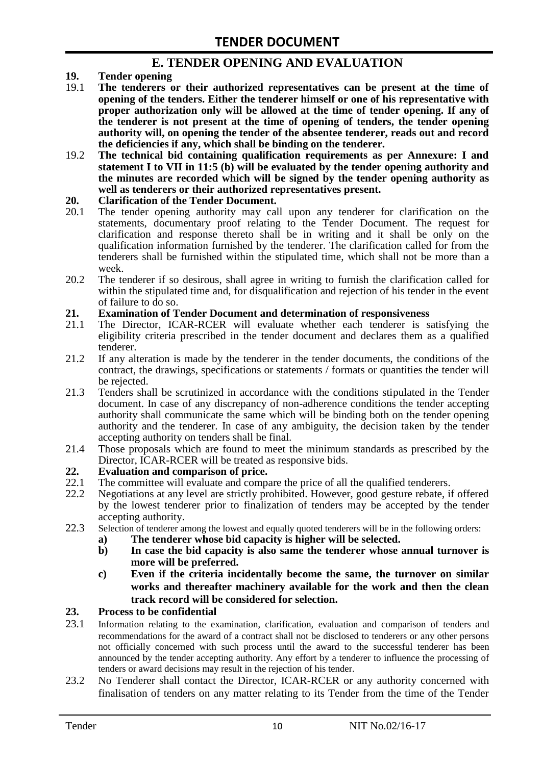### **E. TENDER OPENING AND EVALUATION**

- **19. Tender opening**
- 19.1 **The tenderers or their authorized representatives can be present at the time of opening of the tenders. Either the tenderer himself or one of his representative with proper authorization only will be allowed at the time of tender opening. If any of the tenderer is not present at the time of opening of tenders, the tender opening authority will, on opening the tender of the absentee tenderer, reads out and record the deficiencies if any, which shall be binding on the tenderer.**
- 19.2 **The technical bid containing qualification requirements as per Annexure: I and statement I to VII in 11:5 (b) will be evaluated by the tender opening authority and the minutes are recorded which will be signed by the tender opening authority as well as tenderers or their authorized representatives present.**

#### **20. Clarification of the Tender Document.**

- 20.1 The tender opening authority may call upon any tenderer for clarification on the statements, documentary proof relating to the Tender Document. The request for clarification and response thereto shall be in writing and it shall be only on the qualification information furnished by the tenderer. The clarification called for from the tenderers shall be furnished within the stipulated time, which shall not be more than a week.
- 20.2 The tenderer if so desirous, shall agree in writing to furnish the clarification called for within the stipulated time and, for disqualification and rejection of his tender in the event of failure to do so.

# **21. Examination of Tender Document and determination of responsiveness**

- 21.1 The Director, ICAR-RCER will evaluate whether each tenderer is satisfying the eligibility criteria prescribed in the tender document and declares them as a qualified tenderer.
- 21.2 If any alteration is made by the tenderer in the tender documents, the conditions of the contract, the drawings, specifications or statements / formats or quantities the tender will be rejected.
- 21.3 Tenders shall be scrutinized in accordance with the conditions stipulated in the Tender document. In case of any discrepancy of non-adherence conditions the tender accepting authority shall communicate the same which will be binding both on the tender opening authority and the tenderer. In case of any ambiguity, the decision taken by the tender accepting authority on tenders shall be final.
- 21.4 Those proposals which are found to meet the minimum standards as prescribed by the Director, ICAR-RCER will be treated as responsive bids.

# **22. Evaluation and comparison of price.**

- The committee will evaluate and compare the price of all the qualified tenderers.
- 22.2 Negotiations at any level are strictly prohibited. However, good gesture rebate, if offered by the lowest tenderer prior to finalization of tenders may be accepted by the tender accepting authority.
- 22.3 Selection of tenderer among the lowest and equally quoted tenderers will be in the following orders:
	- **a) The tenderer whose bid capacity is higher will be selected.**
	- **b) In case the bid capacity is also same the tenderer whose annual turnover is more will be preferred.**
	- **c) Even if the criteria incidentally become the same, the turnover on similar works and thereafter machinery available for the work and then the clean track record will be considered for selection.**

#### **23. Process to be confidential**

- 23.1 Information relating to the examination, clarification, evaluation and comparison of tenders and recommendations for the award of a contract shall not be disclosed to tenderers or any other persons not officially concerned with such process until the award to the successful tenderer has been announced by the tender accepting authority. Any effort by a tenderer to influence the processing of tenders or award decisions may result in the rejection of his tender.
- 23.2 No Tenderer shall contact the Director, ICAR-RCER or any authority concerned with finalisation of tenders on any matter relating to its Tender from the time of the Tender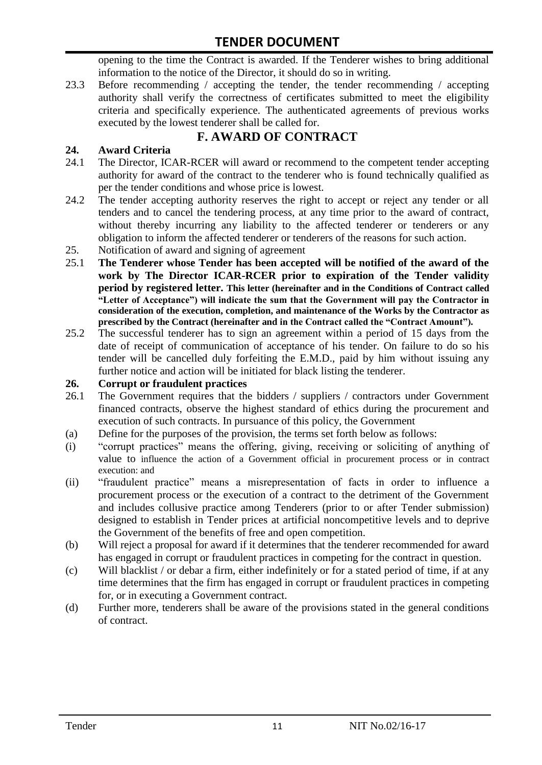opening to the time the Contract is awarded. If the Tenderer wishes to bring additional information to the notice of the Director, it should do so in writing.

23.3 Before recommending / accepting the tender, the tender recommending / accepting authority shall verify the correctness of certificates submitted to meet the eligibility criteria and specifically experience. The authenticated agreements of previous works executed by the lowest tenderer shall be called for.

# **F. AWARD OF CONTRACT**

#### **24. Award Criteria**

- 24.1 The Director, ICAR-RCER will award or recommend to the competent tender accepting authority for award of the contract to the tenderer who is found technically qualified as per the tender conditions and whose price is lowest.
- 24.2 The tender accepting authority reserves the right to accept or reject any tender or all tenders and to cancel the tendering process, at any time prior to the award of contract, without thereby incurring any liability to the affected tenderer or tenderers or any obligation to inform the affected tenderer or tenderers of the reasons for such action.
- 25. Notification of award and signing of agreement
- 25.1 **The Tenderer whose Tender has been accepted will be notified of the award of the work by The Director ICAR-RCER prior to expiration of the Tender validity period by registered letter. This letter (hereinafter and in the Conditions of Contract called "Letter of Acceptance") will indicate the sum that the Government will pay the Contractor in consideration of the execution, completion, and maintenance of the Works by the Contractor as prescribed by the Contract (hereinafter and in the Contract called the "Contract Amount").**
- 25.2 The successful tenderer has to sign an agreement within a period of 15 days from the date of receipt of communication of acceptance of his tender. On failure to do so his tender will be cancelled duly forfeiting the E.M.D., paid by him without issuing any further notice and action will be initiated for black listing the tenderer.

#### **26. Corrupt or fraudulent practices**

- 26.1 The Government requires that the bidders / suppliers / contractors under Government financed contracts, observe the highest standard of ethics during the procurement and execution of such contracts. In pursuance of this policy, the Government
- (a) Define for the purposes of the provision, the terms set forth below as follows:
- (i) "corrupt practices" means the offering, giving, receiving or soliciting of anything of value to influence the action of a Government official in procurement process or in contract execution: and
- (ii) "fraudulent practice" means a misrepresentation of facts in order to influence a procurement process or the execution of a contract to the detriment of the Government and includes collusive practice among Tenderers (prior to or after Tender submission) designed to establish in Tender prices at artificial noncompetitive levels and to deprive the Government of the benefits of free and open competition.
- (b) Will reject a proposal for award if it determines that the tenderer recommended for award has engaged in corrupt or fraudulent practices in competing for the contract in question.
- (c) Will blacklist / or debar a firm, either indefinitely or for a stated period of time, if at any time determines that the firm has engaged in corrupt or fraudulent practices in competing for, or in executing a Government contract.
- (d) Further more, tenderers shall be aware of the provisions stated in the general conditions of contract.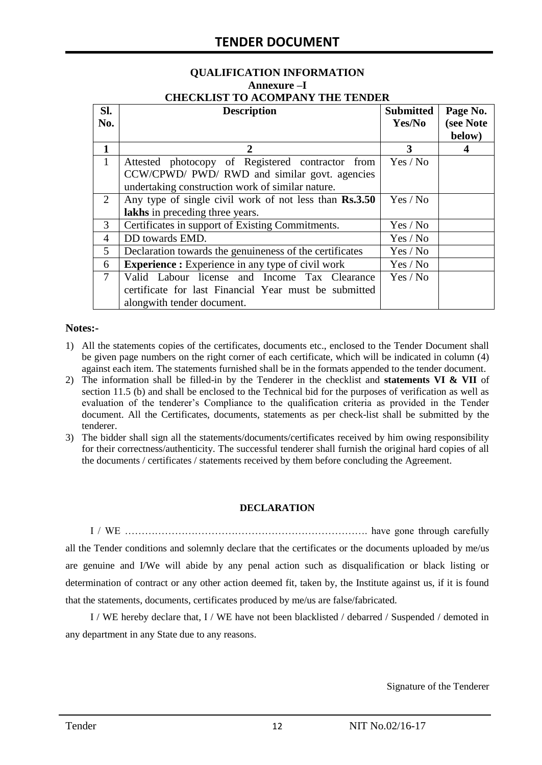# **QUALIFICATION INFORMATION Annexure –I**

|  |  | <b>CHECKLIST TO ACOMPANY THE TENDER</b> |  |
|--|--|-----------------------------------------|--|
|  |  |                                         |  |

| SI.<br>No.   | <b>Description</b>                                                                                                                                    | <b>Submitted</b><br>Yes/No | Page No.<br>(see Note<br>below) |
|--------------|-------------------------------------------------------------------------------------------------------------------------------------------------------|----------------------------|---------------------------------|
| 1            | 2                                                                                                                                                     | 3                          | 4                               |
| $\mathbf{1}$ | Attested photocopy of Registered contractor from<br>CCW/CPWD/ PWD/ RWD and similar govt. agencies<br>undertaking construction work of similar nature. | Yes / No                   |                                 |
| 2            | Any type of single civil work of not less than Rs.3.50<br>lakhs in preceding three years.                                                             | Yes / No                   |                                 |
| 3            | Certificates in support of Existing Commitments.                                                                                                      | Yes / No                   |                                 |
| 4            | DD towards EMD.                                                                                                                                       | Yes / No                   |                                 |
| 5            | Declaration towards the genuineness of the certificates                                                                                               | Yes / No                   |                                 |
| 6            | <b>Experience :</b> Experience in any type of civil work                                                                                              | Yes / No                   |                                 |
| $\tau$       | Valid Labour license and Income Tax Clearance<br>certificate for last Financial Year must be submitted<br>alongwith tender document.                  | Yes / No                   |                                 |

#### **Notes:-**

- 1) All the statements copies of the certificates, documents etc., enclosed to the Tender Document shall be given page numbers on the right corner of each certificate, which will be indicated in column (4) against each item. The statements furnished shall be in the formats appended to the tender document.
- 2) The information shall be filled-in by the Tenderer in the checklist and **statements VI & VII** of section 11.5 (b) and shall be enclosed to the Technical bid for the purposes of verification as well as evaluation of the tenderer"s Compliance to the qualification criteria as provided in the Tender document. All the Certificates, documents, statements as per check-list shall be submitted by the tenderer.
- 3) The bidder shall sign all the statements/documents/certificates received by him owing responsibility for their correctness/authenticity. The successful tenderer shall furnish the original hard copies of all the documents / certificates / statements received by them before concluding the Agreement.

#### **DECLARATION**

I / WE ………………………………………………………………. have gone through carefully all the Tender conditions and solemnly declare that the certificates or the documents uploaded by me/us are genuine and I/We will abide by any penal action such as disqualification or black listing or determination of contract or any other action deemed fit, taken by, the Institute against us, if it is found that the statements, documents, certificates produced by me/us are false/fabricated.

I / WE hereby declare that, I / WE have not been blacklisted / debarred / Suspended / demoted in any department in any State due to any reasons.

Signature of the Tenderer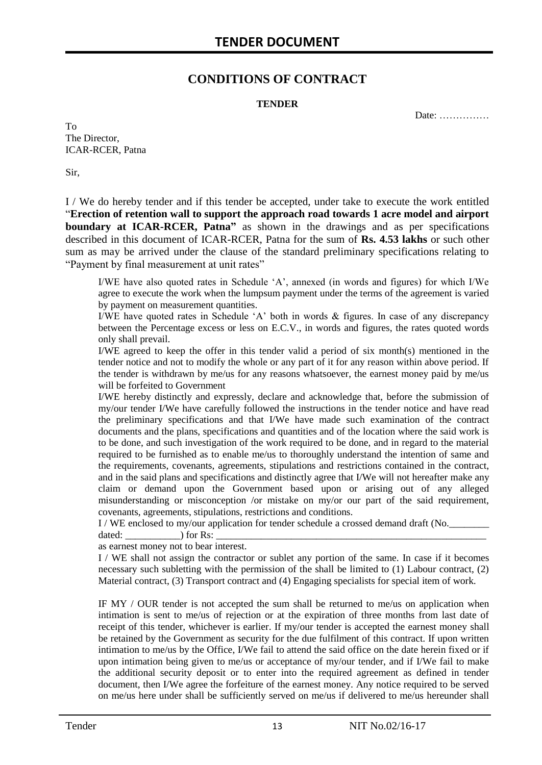### **CONDITIONS OF CONTRACT**

#### **TENDER**

Date: ……………

To The Director, ICAR-RCER, Patna

Sir,

I / We do hereby tender and if this tender be accepted, under take to execute the work entitled "**Erection of retention wall to support the approach road towards 1 acre model and airport boundary at ICAR-RCER, Patna**" as shown in the drawings and as per specifications described in this document of ICAR-RCER, Patna for the sum of **Rs. 4.53 lakhs** or such other sum as may be arrived under the clause of the standard preliminary specifications relating to "Payment by final measurement at unit rates"

I/WE have also quoted rates in Schedule "A", annexed (in words and figures) for which I/We agree to execute the work when the lumpsum payment under the terms of the agreement is varied by payment on measurement quantities.

I/WE have quoted rates in Schedule "A" both in words & figures. In case of any discrepancy between the Percentage excess or less on E.C.V., in words and figures, the rates quoted words only shall prevail.

I/WE agreed to keep the offer in this tender valid a period of six month(s) mentioned in the tender notice and not to modify the whole or any part of it for any reason within above period. If the tender is withdrawn by me/us for any reasons whatsoever, the earnest money paid by me/us will be forfeited to Government

I/WE hereby distinctly and expressly, declare and acknowledge that, before the submission of my/our tender I/We have carefully followed the instructions in the tender notice and have read the preliminary specifications and that I/We have made such examination of the contract documents and the plans, specifications and quantities and of the location where the said work is to be done, and such investigation of the work required to be done, and in regard to the material required to be furnished as to enable me/us to thoroughly understand the intention of same and the requirements, covenants, agreements, stipulations and restrictions contained in the contract, and in the said plans and specifications and distinctly agree that I/We will not hereafter make any claim or demand upon the Government based upon or arising out of any alleged misunderstanding or misconception /or mistake on my/or our part of the said requirement, covenants, agreements, stipulations, restrictions and conditions.

I / WE enclosed to my/our application for tender schedule a crossed demand draft (No.

dated:  $\qquad \qquad$  ) for Rs: as earnest money not to bear interest.

I / WE shall not assign the contractor or sublet any portion of the same. In case if it becomes necessary such subletting with the permission of the shall be limited to (1) Labour contract, (2) Material contract, (3) Transport contract and (4) Engaging specialists for special item of work.

IF MY / OUR tender is not accepted the sum shall be returned to me/us on application when intimation is sent to me/us of rejection or at the expiration of three months from last date of receipt of this tender, whichever is earlier. If my/our tender is accepted the earnest money shall be retained by the Government as security for the due fulfilment of this contract. If upon written intimation to me/us by the Office, I/We fail to attend the said office on the date herein fixed or if upon intimation being given to me/us or acceptance of my/our tender, and if I/We fail to make the additional security deposit or to enter into the required agreement as defined in tender document, then I/We agree the forfeiture of the earnest money. Any notice required to be served on me/us here under shall be sufficiently served on me/us if delivered to me/us hereunder shall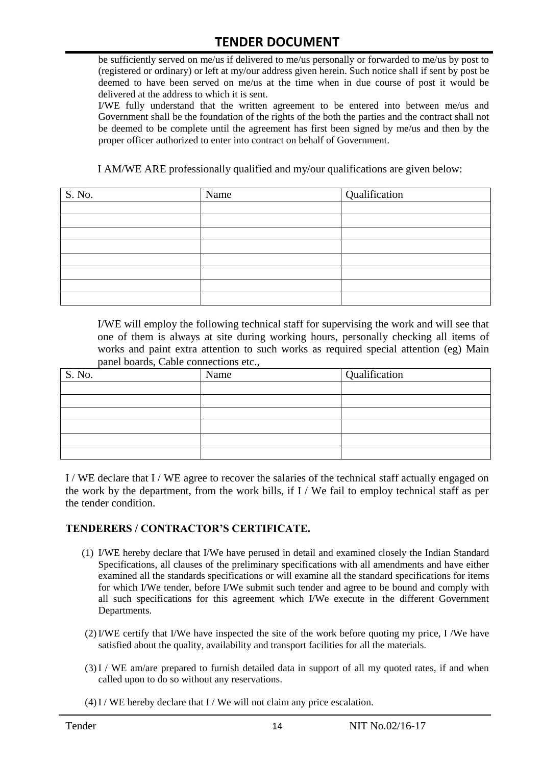be sufficiently served on me/us if delivered to me/us personally or forwarded to me/us by post to (registered or ordinary) or left at my/our address given herein. Such notice shall if sent by post be deemed to have been served on me/us at the time when in due course of post it would be delivered at the address to which it is sent.

I/WE fully understand that the written agreement to be entered into between me/us and Government shall be the foundation of the rights of the both the parties and the contract shall not be deemed to be complete until the agreement has first been signed by me/us and then by the proper officer authorized to enter into contract on behalf of Government.

I AM/WE ARE professionally qualified and my/our qualifications are given below:

| S. No. | Name | Qualification |
|--------|------|---------------|
|        |      |               |
|        |      |               |
|        |      |               |
|        |      |               |
|        |      |               |
|        |      |               |
|        |      |               |
|        |      |               |

I/WE will employ the following technical staff for supervising the work and will see that one of them is always at site during working hours, personally checking all items of works and paint extra attention to such works as required special attention (eg) Main panel boards, Cable connections etc.,

| S. No. | Name | Qualification |
|--------|------|---------------|
|        |      |               |
|        |      |               |
|        |      |               |
|        |      |               |
|        |      |               |
|        |      |               |

I / WE declare that I / WE agree to recover the salaries of the technical staff actually engaged on the work by the department, from the work bills, if I / We fail to employ technical staff as per the tender condition.

#### **TENDERERS / CONTRACTOR'S CERTIFICATE.**

- (1) I/WE hereby declare that I/We have perused in detail and examined closely the Indian Standard Specifications, all clauses of the preliminary specifications with all amendments and have either examined all the standards specifications or will examine all the standard specifications for items for which I/We tender, before I/We submit such tender and agree to be bound and comply with all such specifications for this agreement which I/We execute in the different Government Departments.
- (2)I/WE certify that I/We have inspected the site of the work before quoting my price, I /We have satisfied about the quality, availability and transport facilities for all the materials.
- (3)I / WE am/are prepared to furnish detailed data in support of all my quoted rates, if and when called upon to do so without any reservations.
- $(4)$ I / WE hereby declare that I / We will not claim any price escalation.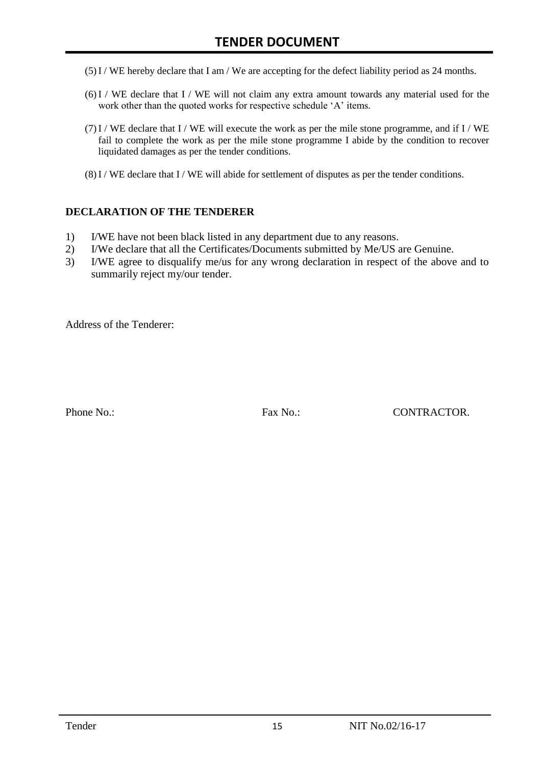- (5)I / WE hereby declare that I am / We are accepting for the defect liability period as 24 months.
- (6)I / WE declare that I / WE will not claim any extra amount towards any material used for the work other than the quoted works for respective schedule 'A' items.
- $(7)$ I / WE declare that I / WE will execute the work as per the mile stone programme, and if I / WE fail to complete the work as per the mile stone programme I abide by the condition to recover liquidated damages as per the tender conditions.
- $(8)$ I / WE declare that I / WE will abide for settlement of disputes as per the tender conditions.

#### **DECLARATION OF THE TENDERER**

- 1) I/WE have not been black listed in any department due to any reasons.
- 2) I/We declare that all the Certificates/Documents submitted by Me/US are Genuine.
- 3) I/WE agree to disqualify me/us for any wrong declaration in respect of the above and to summarily reject my/our tender.

Address of the Tenderer:

Phone No.: Fax No.: CONTRACTOR.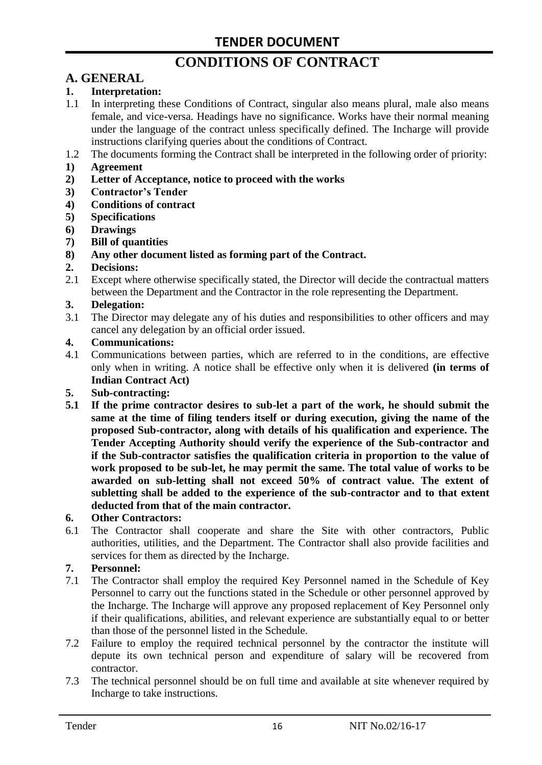# **CONDITIONS OF CONTRACT**

# **A. GENERAL**

#### **1. Interpretation:**

- 1.1 In interpreting these Conditions of Contract, singular also means plural, male also means female, and vice-versa. Headings have no significance. Works have their normal meaning under the language of the contract unless specifically defined. The Incharge will provide instructions clarifying queries about the conditions of Contract.
- 1.2 The documents forming the Contract shall be interpreted in the following order of priority:
- **1) Agreement**
- **2) Letter of Acceptance, notice to proceed with the works**
- **3) Contractor's Tender**
- **4) Conditions of contract**
- **5) Specifications**
- **6) Drawings**
- **7) Bill of quantities**
- **8) Any other document listed as forming part of the Contract.**

#### **2. Decisions:**

2.1 Except where otherwise specifically stated, the Director will decide the contractual matters between the Department and the Contractor in the role representing the Department.

#### **3. Delegation:**

3.1 The Director may delegate any of his duties and responsibilities to other officers and may cancel any delegation by an official order issued.

#### **4. Communications:**

4.1 Communications between parties, which are referred to in the conditions, are effective only when in writing. A notice shall be effective only when it is delivered **(in terms of Indian Contract Act)**

#### **5. Sub-contracting:**

**5.1 If the prime contractor desires to sub-let a part of the work, he should submit the same at the time of filing tenders itself or during execution, giving the name of the proposed Sub-contractor, along with details of his qualification and experience. The Tender Accepting Authority should verify the experience of the Sub-contractor and if the Sub-contractor satisfies the qualification criteria in proportion to the value of work proposed to be sub-let, he may permit the same. The total value of works to be awarded on sub-letting shall not exceed 50% of contract value. The extent of subletting shall be added to the experience of the sub-contractor and to that extent deducted from that of the main contractor.**

#### **6. Other Contractors:**

6.1 The Contractor shall cooperate and share the Site with other contractors, Public authorities, utilities, and the Department. The Contractor shall also provide facilities and services for them as directed by the Incharge.

#### **7. Personnel:**

- 7.1 The Contractor shall employ the required Key Personnel named in the Schedule of Key Personnel to carry out the functions stated in the Schedule or other personnel approved by the Incharge. The Incharge will approve any proposed replacement of Key Personnel only if their qualifications, abilities, and relevant experience are substantially equal to or better than those of the personnel listed in the Schedule.
- 7.2 Failure to employ the required technical personnel by the contractor the institute will depute its own technical person and expenditure of salary will be recovered from contractor.
- 7.3 The technical personnel should be on full time and available at site whenever required by Incharge to take instructions.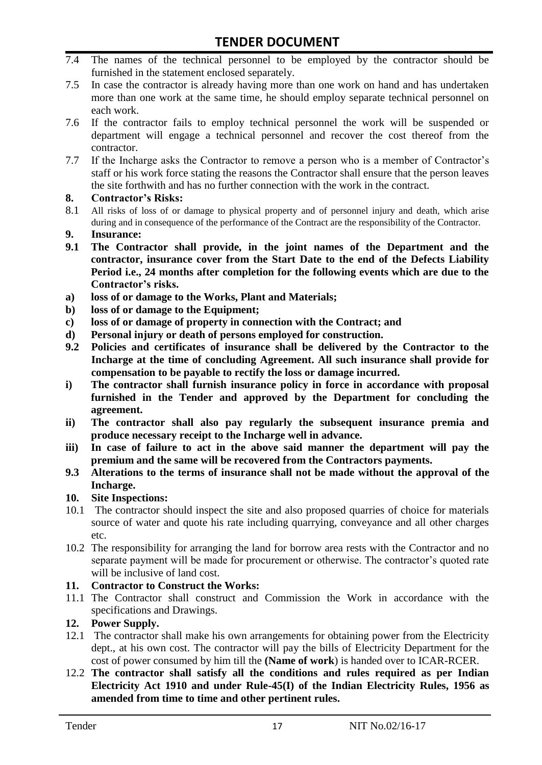- 7.4 The names of the technical personnel to be employed by the contractor should be furnished in the statement enclosed separately.
- 7.5 In case the contractor is already having more than one work on hand and has undertaken more than one work at the same time, he should employ separate technical personnel on each work.
- 7.6 If the contractor fails to employ technical personnel the work will be suspended or department will engage a technical personnel and recover the cost thereof from the contractor.
- 7.7 If the Incharge asks the Contractor to remove a person who is a member of Contractor"s staff or his work force stating the reasons the Contractor shall ensure that the person leaves the site forthwith and has no further connection with the work in the contract.

#### **8. Contractor's Risks:**

- 8.1 All risks of loss of or damage to physical property and of personnel injury and death, which arise during and in consequence of the performance of the Contract are the responsibility of the Contractor.
- **9. Insurance:**
- **9.1 The Contractor shall provide, in the joint names of the Department and the contractor, insurance cover from the Start Date to the end of the Defects Liability Period i.e., 24 months after completion for the following events which are due to the Contractor's risks.**
- **a) loss of or damage to the Works, Plant and Materials;**
- **b) loss of or damage to the Equipment;**
- **c) loss of or damage of property in connection with the Contract; and**
- **d) Personal injury or death of persons employed for construction.**
- **9.2 Policies and certificates of insurance shall be delivered by the Contractor to the Incharge at the time of concluding Agreement. All such insurance shall provide for compensation to be payable to rectify the loss or damage incurred.**
- **i) The contractor shall furnish insurance policy in force in accordance with proposal furnished in the Tender and approved by the Department for concluding the agreement.**
- **ii) The contractor shall also pay regularly the subsequent insurance premia and produce necessary receipt to the Incharge well in advance.**
- **iii) In case of failure to act in the above said manner the department will pay the premium and the same will be recovered from the Contractors payments.**
- **9.3 Alterations to the terms of insurance shall not be made without the approval of the Incharge.**

#### **10. Site Inspections:**

- 10.1 The contractor should inspect the site and also proposed quarries of choice for materials source of water and quote his rate including quarrying, conveyance and all other charges etc.
- 10.2 The responsibility for arranging the land for borrow area rests with the Contractor and no separate payment will be made for procurement or otherwise. The contractor's quoted rate will be inclusive of land cost.

#### **11. Contractor to Construct the Works:**

11.1 The Contractor shall construct and Commission the Work in accordance with the specifications and Drawings.

#### **12. Power Supply.**

- 12.1 The contractor shall make his own arrangements for obtaining power from the Electricity dept., at his own cost. The contractor will pay the bills of Electricity Department for the cost of power consumed by him till the **(Name of work**) is handed over to ICAR-RCER.
- 12.2 **The contractor shall satisfy all the conditions and rules required as per Indian Electricity Act 1910 and under Rule-45(I) of the Indian Electricity Rules, 1956 as amended from time to time and other pertinent rules.**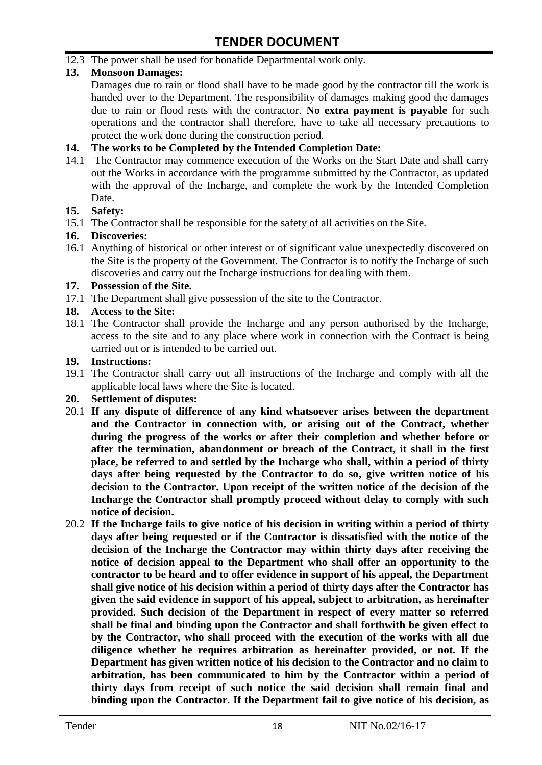12.3 The power shall be used for bonafide Departmental work only.

#### **13. Monsoon Damages:**

Damages due to rain or flood shall have to be made good by the contractor till the work is handed over to the Department. The responsibility of damages making good the damages due to rain or flood rests with the contractor. **No extra payment is payable** for such operations and the contractor shall therefore, have to take all necessary precautions to protect the work done during the construction period.

#### **14. The works to be Completed by the Intended Completion Date:**

14.1 The Contractor may commence execution of the Works on the Start Date and shall carry out the Works in accordance with the programme submitted by the Contractor, as updated with the approval of the Incharge, and complete the work by the Intended Completion Date.

#### **15. Safety:**

15.1 The Contractor shall be responsible for the safety of all activities on the Site.

#### **16. Discoveries:**

16.1 Anything of historical or other interest or of significant value unexpectedly discovered on the Site is the property of the Government. The Contractor is to notify the Incharge of such discoveries and carry out the Incharge instructions for dealing with them.

#### **17. Possession of the Site.**

17.1 The Department shall give possession of the site to the Contractor.

#### **18. Access to the Site:**

18.1 The Contractor shall provide the Incharge and any person authorised by the Incharge, access to the site and to any place where work in connection with the Contract is being carried out or is intended to be carried out.

#### **19. Instructions:**

- 19.1 The Contractor shall carry out all instructions of the Incharge and comply with all the applicable local laws where the Site is located.
- **20. Settlement of disputes:**
- 20.1 **If any dispute of difference of any kind whatsoever arises between the department and the Contractor in connection with, or arising out of the Contract, whether during the progress of the works or after their completion and whether before or after the termination, abandonment or breach of the Contract, it shall in the first place, be referred to and settled by the Incharge who shall, within a period of thirty days after being requested by the Contractor to do so, give written notice of his decision to the Contractor. Upon receipt of the written notice of the decision of the Incharge the Contractor shall promptly proceed without delay to comply with such notice of decision.**
- 20.2 **If the Incharge fails to give notice of his decision in writing within a period of thirty days after being requested or if the Contractor is dissatisfied with the notice of the decision of the Incharge the Contractor may within thirty days after receiving the notice of decision appeal to the Department who shall offer an opportunity to the contractor to be heard and to offer evidence in support of his appeal, the Department shall give notice of his decision within a period of thirty days after the Contractor has given the said evidence in support of his appeal, subject to arbitration, as hereinafter provided. Such decision of the Department in respect of every matter so referred shall be final and binding upon the Contractor and shall forthwith be given effect to by the Contractor, who shall proceed with the execution of the works with all due diligence whether he requires arbitration as hereinafter provided, or not. If the Department has given written notice of his decision to the Contractor and no claim to arbitration, has been communicated to him by the Contractor within a period of thirty days from receipt of such notice the said decision shall remain final and binding upon the Contractor. If the Department fail to give notice of his decision, as**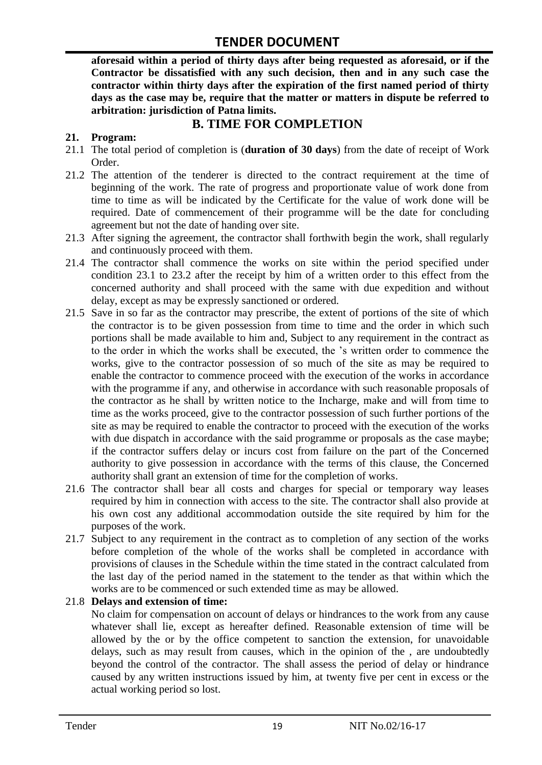**aforesaid within a period of thirty days after being requested as aforesaid, or if the Contractor be dissatisfied with any such decision, then and in any such case the contractor within thirty days after the expiration of the first named period of thirty days as the case may be, require that the matter or matters in dispute be referred to arbitration: jurisdiction of Patna limits.**

### **B. TIME FOR COMPLETION**

#### **21. Program:**

- 21.1 The total period of completion is (**duration of 30 days**) from the date of receipt of Work Order.
- 21.2 The attention of the tenderer is directed to the contract requirement at the time of beginning of the work. The rate of progress and proportionate value of work done from time to time as will be indicated by the Certificate for the value of work done will be required. Date of commencement of their programme will be the date for concluding agreement but not the date of handing over site.
- 21.3 After signing the agreement, the contractor shall forthwith begin the work, shall regularly and continuously proceed with them.
- 21.4 The contractor shall commence the works on site within the period specified under condition 23.1 to 23.2 after the receipt by him of a written order to this effect from the concerned authority and shall proceed with the same with due expedition and without delay, except as may be expressly sanctioned or ordered.
- 21.5 Save in so far as the contractor may prescribe, the extent of portions of the site of which the contractor is to be given possession from time to time and the order in which such portions shall be made available to him and, Subject to any requirement in the contract as to the order in which the works shall be executed, the "s written order to commence the works, give to the contractor possession of so much of the site as may be required to enable the contractor to commence proceed with the execution of the works in accordance with the programme if any, and otherwise in accordance with such reasonable proposals of the contractor as he shall by written notice to the Incharge, make and will from time to time as the works proceed, give to the contractor possession of such further portions of the site as may be required to enable the contractor to proceed with the execution of the works with due dispatch in accordance with the said programme or proposals as the case maybe; if the contractor suffers delay or incurs cost from failure on the part of the Concerned authority to give possession in accordance with the terms of this clause, the Concerned authority shall grant an extension of time for the completion of works.
- 21.6 The contractor shall bear all costs and charges for special or temporary way leases required by him in connection with access to the site. The contractor shall also provide at his own cost any additional accommodation outside the site required by him for the purposes of the work.
- 21.7 Subject to any requirement in the contract as to completion of any section of the works before completion of the whole of the works shall be completed in accordance with provisions of clauses in the Schedule within the time stated in the contract calculated from the last day of the period named in the statement to the tender as that within which the works are to be commenced or such extended time as may be allowed.

#### 21.8 **Delays and extension of time:**

No claim for compensation on account of delays or hindrances to the work from any cause whatever shall lie, except as hereafter defined. Reasonable extension of time will be allowed by the or by the office competent to sanction the extension, for unavoidable delays, such as may result from causes, which in the opinion of the , are undoubtedly beyond the control of the contractor. The shall assess the period of delay or hindrance caused by any written instructions issued by him, at twenty five per cent in excess or the actual working period so lost.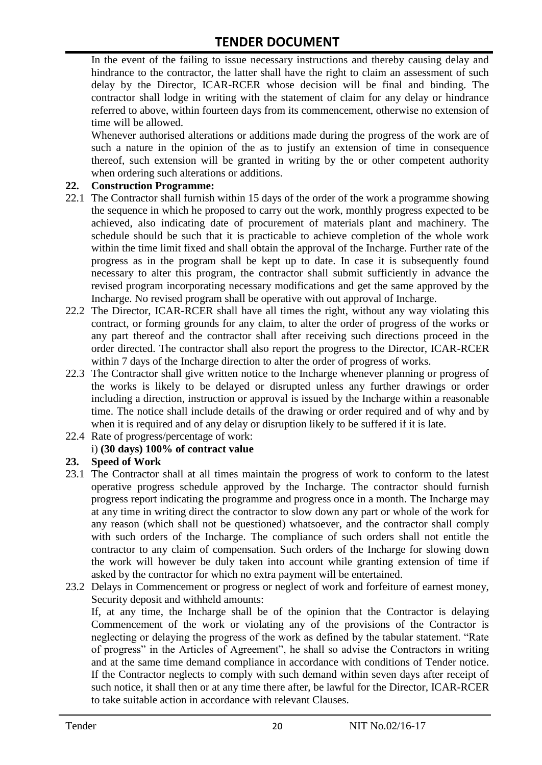In the event of the failing to issue necessary instructions and thereby causing delay and hindrance to the contractor, the latter shall have the right to claim an assessment of such delay by the Director, ICAR-RCER whose decision will be final and binding. The contractor shall lodge in writing with the statement of claim for any delay or hindrance referred to above, within fourteen days from its commencement, otherwise no extension of time will be allowed.

Whenever authorised alterations or additions made during the progress of the work are of such a nature in the opinion of the as to justify an extension of time in consequence thereof, such extension will be granted in writing by the or other competent authority when ordering such alterations or additions.

#### **22. Construction Programme:**

- 22.1 The Contractor shall furnish within 15 days of the order of the work a programme showing the sequence in which he proposed to carry out the work, monthly progress expected to be achieved, also indicating date of procurement of materials plant and machinery. The schedule should be such that it is practicable to achieve completion of the whole work within the time limit fixed and shall obtain the approval of the Incharge. Further rate of the progress as in the program shall be kept up to date. In case it is subsequently found necessary to alter this program, the contractor shall submit sufficiently in advance the revised program incorporating necessary modifications and get the same approved by the Incharge. No revised program shall be operative with out approval of Incharge.
- 22.2 The Director, ICAR-RCER shall have all times the right, without any way violating this contract, or forming grounds for any claim, to alter the order of progress of the works or any part thereof and the contractor shall after receiving such directions proceed in the order directed. The contractor shall also report the progress to the Director, ICAR-RCER within 7 days of the Incharge direction to alter the order of progress of works.
- 22.3 The Contractor shall give written notice to the Incharge whenever planning or progress of the works is likely to be delayed or disrupted unless any further drawings or order including a direction, instruction or approval is issued by the Incharge within a reasonable time. The notice shall include details of the drawing or order required and of why and by when it is required and of any delay or disruption likely to be suffered if it is late.
- 22.4 Rate of progress/percentage of work:

#### i) **(30 days) 100% of contract value**

#### **23. Speed of Work**

- 23.1 The Contractor shall at all times maintain the progress of work to conform to the latest operative progress schedule approved by the Incharge. The contractor should furnish progress report indicating the programme and progress once in a month. The Incharge may at any time in writing direct the contractor to slow down any part or whole of the work for any reason (which shall not be questioned) whatsoever, and the contractor shall comply with such orders of the Incharge. The compliance of such orders shall not entitle the contractor to any claim of compensation. Such orders of the Incharge for slowing down the work will however be duly taken into account while granting extension of time if asked by the contractor for which no extra payment will be entertained.
- 23.2 Delays in Commencement or progress or neglect of work and forfeiture of earnest money, Security deposit and withheld amounts:

If, at any time, the Incharge shall be of the opinion that the Contractor is delaying Commencement of the work or violating any of the provisions of the Contractor is neglecting or delaying the progress of the work as defined by the tabular statement. "Rate of progress" in the Articles of Agreement", he shall so advise the Contractors in writing and at the same time demand compliance in accordance with conditions of Tender notice. If the Contractor neglects to comply with such demand within seven days after receipt of such notice, it shall then or at any time there after, be lawful for the Director, ICAR-RCER to take suitable action in accordance with relevant Clauses.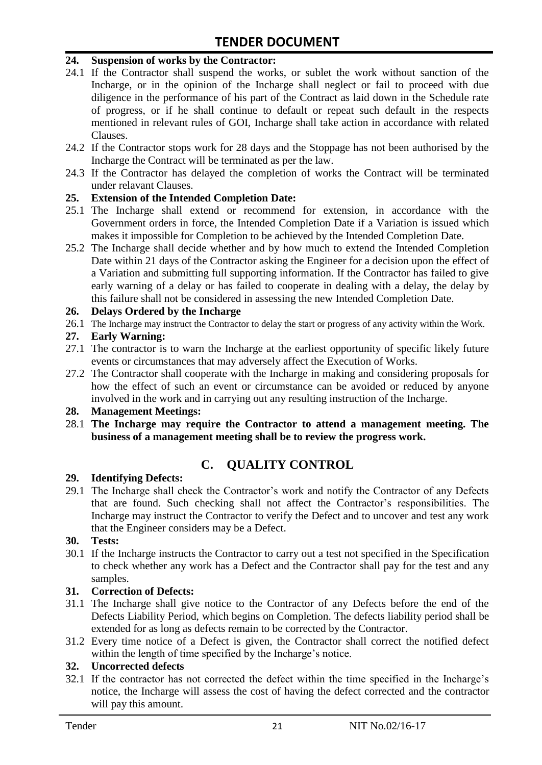#### **24. Suspension of works by the Contractor:**

- 24.1 If the Contractor shall suspend the works, or sublet the work without sanction of the Incharge, or in the opinion of the Incharge shall neglect or fail to proceed with due diligence in the performance of his part of the Contract as laid down in the Schedule rate of progress, or if he shall continue to default or repeat such default in the respects mentioned in relevant rules of GOI, Incharge shall take action in accordance with related Clauses.
- 24.2 If the Contractor stops work for 28 days and the Stoppage has not been authorised by the Incharge the Contract will be terminated as per the law.
- 24.3 If the Contractor has delayed the completion of works the Contract will be terminated under relavant Clauses.

#### **25. Extension of the Intended Completion Date:**

- 25.1 The Incharge shall extend or recommend for extension, in accordance with the Government orders in force, the Intended Completion Date if a Variation is issued which makes it impossible for Completion to be achieved by the Intended Completion Date.
- 25.2 The Incharge shall decide whether and by how much to extend the Intended Completion Date within 21 days of the Contractor asking the Engineer for a decision upon the effect of a Variation and submitting full supporting information. If the Contractor has failed to give early warning of a delay or has failed to cooperate in dealing with a delay, the delay by this failure shall not be considered in assessing the new Intended Completion Date.

#### **26. Delays Ordered by the Incharge**

26.1 The Incharge may instruct the Contractor to delay the start or progress of any activity within the Work.

#### **27. Early Warning:**

- 27.1 The contractor is to warn the Incharge at the earliest opportunity of specific likely future events or circumstances that may adversely affect the Execution of Works.
- 27.2 The Contractor shall cooperate with the Incharge in making and considering proposals for how the effect of such an event or circumstance can be avoided or reduced by anyone involved in the work and in carrying out any resulting instruction of the Incharge.

#### **28. Management Meetings:**

28.1 **The Incharge may require the Contractor to attend a management meeting. The business of a management meeting shall be to review the progress work.**

# **C. QUALITY CONTROL**

#### **29. Identifying Defects:**

29.1 The Incharge shall check the Contractor's work and notify the Contractor of any Defects that are found. Such checking shall not affect the Contractor"s responsibilities. The Incharge may instruct the Contractor to verify the Defect and to uncover and test any work that the Engineer considers may be a Defect.

#### **30. Tests:**

30.1 If the Incharge instructs the Contractor to carry out a test not specified in the Specification to check whether any work has a Defect and the Contractor shall pay for the test and any samples.

#### **31. Correction of Defects:**

- 31.1 The Incharge shall give notice to the Contractor of any Defects before the end of the Defects Liability Period, which begins on Completion. The defects liability period shall be extended for as long as defects remain to be corrected by the Contractor.
- 31.2 Every time notice of a Defect is given, the Contractor shall correct the notified defect within the length of time specified by the Incharge's notice.

#### **32. Uncorrected defects**

32.1 If the contractor has not corrected the defect within the time specified in the Incharge"s notice, the Incharge will assess the cost of having the defect corrected and the contractor will pay this amount.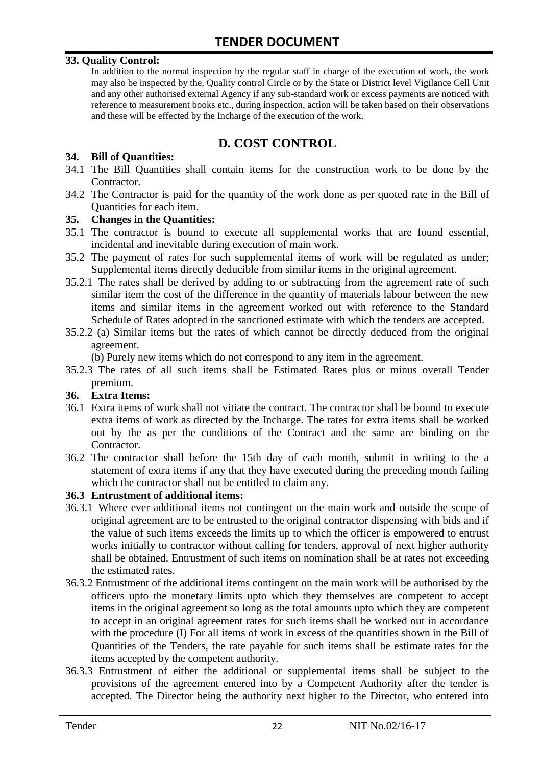#### **33. Quality Control:**

In addition to the normal inspection by the regular staff in charge of the execution of work, the work may also be inspected by the, Quality control Circle or by the State or District level Vigilance Cell Unit and any other authorised external Agency if any sub-standard work or excess payments are noticed with reference to measurement books etc., during inspection, action will be taken based on their observations and these will be effected by the Incharge of the execution of the work.

# **D. COST CONTROL**

#### **34. Bill of Quantities:**

- 34.1 The Bill Quantities shall contain items for the construction work to be done by the Contractor.
- 34.2 The Contractor is paid for the quantity of the work done as per quoted rate in the Bill of Quantities for each item.

#### **35. Changes in the Quantities:**

- 35.1 The contractor is bound to execute all supplemental works that are found essential, incidental and inevitable during execution of main work.
- 35.2 The payment of rates for such supplemental items of work will be regulated as under; Supplemental items directly deducible from similar items in the original agreement.
- 35.2.1 The rates shall be derived by adding to or subtracting from the agreement rate of such similar item the cost of the difference in the quantity of materials labour between the new items and similar items in the agreement worked out with reference to the Standard Schedule of Rates adopted in the sanctioned estimate with which the tenders are accepted.
- 35.2.2 (a) Similar items but the rates of which cannot be directly deduced from the original agreement.

(b) Purely new items which do not correspond to any item in the agreement.

35.2.3 The rates of all such items shall be Estimated Rates plus or minus overall Tender premium.

#### **36. Extra Items:**

- 36.1 Extra items of work shall not vitiate the contract. The contractor shall be bound to execute extra items of work as directed by the Incharge. The rates for extra items shall be worked out by the as per the conditions of the Contract and the same are binding on the Contractor.
- 36.2 The contractor shall before the 15th day of each month, submit in writing to the a statement of extra items if any that they have executed during the preceding month failing which the contractor shall not be entitled to claim any.

#### **36.3 Entrustment of additional items:**

- 36.3.1 Where ever additional items not contingent on the main work and outside the scope of original agreement are to be entrusted to the original contractor dispensing with bids and if the value of such items exceeds the limits up to which the officer is empowered to entrust works initially to contractor without calling for tenders, approval of next higher authority shall be obtained. Entrustment of such items on nomination shall be at rates not exceeding the estimated rates.
- 36.3.2 Entrustment of the additional items contingent on the main work will be authorised by the officers upto the monetary limits upto which they themselves are competent to accept items in the original agreement so long as the total amounts upto which they are competent to accept in an original agreement rates for such items shall be worked out in accordance with the procedure (I) For all items of work in excess of the quantities shown in the Bill of Quantities of the Tenders, the rate payable for such items shall be estimate rates for the items accepted by the competent authority.
- 36.3.3 Entrustment of either the additional or supplemental items shall be subject to the provisions of the agreement entered into by a Competent Authority after the tender is accepted. The Director being the authority next higher to the Director, who entered into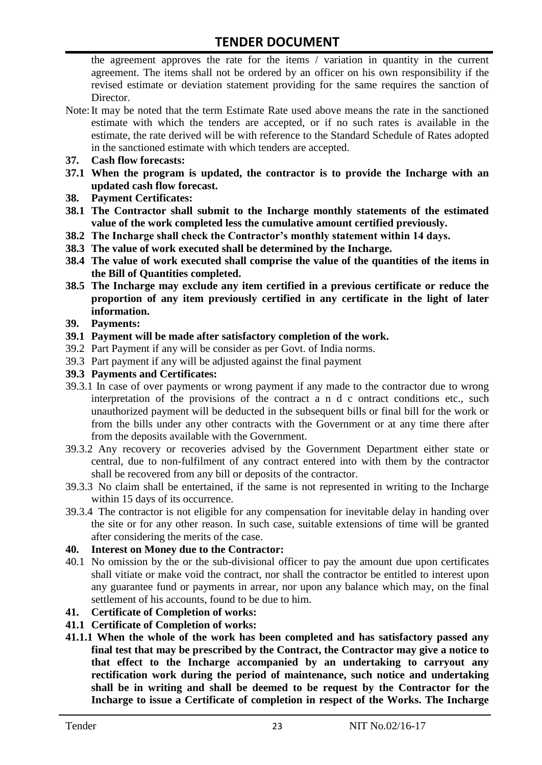the agreement approves the rate for the items / variation in quantity in the current agreement. The items shall not be ordered by an officer on his own responsibility if the revised estimate or deviation statement providing for the same requires the sanction of Director.

- Note:It may be noted that the term Estimate Rate used above means the rate in the sanctioned estimate with which the tenders are accepted, or if no such rates is available in the estimate, the rate derived will be with reference to the Standard Schedule of Rates adopted in the sanctioned estimate with which tenders are accepted.
- **37. Cash flow forecasts:**
- **37.1 When the program is updated, the contractor is to provide the Incharge with an updated cash flow forecast.**
- **38. Payment Certificates:**
- **38.1 The Contractor shall submit to the Incharge monthly statements of the estimated value of the work completed less the cumulative amount certified previously.**
- **38.2 The Incharge shall check the Contractor's monthly statement within 14 days.**
- **38.3 The value of work executed shall be determined by the Incharge.**
- **38.4 The value of work executed shall comprise the value of the quantities of the items in the Bill of Quantities completed.**
- **38.5 The Incharge may exclude any item certified in a previous certificate or reduce the proportion of any item previously certified in any certificate in the light of later information.**
- **39. Payments:**
- **39.1 Payment will be made after satisfactory completion of the work.**
- 39.2 Part Payment if any will be consider as per Govt. of India norms.
- 39.3 Part payment if any will be adjusted against the final payment
- **39.3 Payments and Certificates:**
- 39.3.1 In case of over payments or wrong payment if any made to the contractor due to wrong interpretation of the provisions of the contract a n d c ontract conditions etc., such unauthorized payment will be deducted in the subsequent bills or final bill for the work or from the bills under any other contracts with the Government or at any time there after from the deposits available with the Government.
- 39.3.2 Any recovery or recoveries advised by the Government Department either state or central, due to non-fulfilment of any contract entered into with them by the contractor shall be recovered from any bill or deposits of the contractor.
- 39.3.3 No claim shall be entertained, if the same is not represented in writing to the Incharge within 15 days of its occurrence.
- 39.3.4 The contractor is not eligible for any compensation for inevitable delay in handing over the site or for any other reason. In such case, suitable extensions of time will be granted after considering the merits of the case.

#### **40. Interest on Money due to the Contractor:**

- 40.1 No omission by the or the sub-divisional officer to pay the amount due upon certificates shall vitiate or make void the contract, nor shall the contractor be entitled to interest upon any guarantee fund or payments in arrear, nor upon any balance which may, on the final settlement of his accounts, found to be due to him.
- **41. Certificate of Completion of works:**
- **41.1 Certificate of Completion of works:**
- **41.1.1 When the whole of the work has been completed and has satisfactory passed any final test that may be prescribed by the Contract, the Contractor may give a notice to that effect to the Incharge accompanied by an undertaking to carryout any rectification work during the period of maintenance, such notice and undertaking shall be in writing and shall be deemed to be request by the Contractor for the Incharge to issue a Certificate of completion in respect of the Works. The Incharge**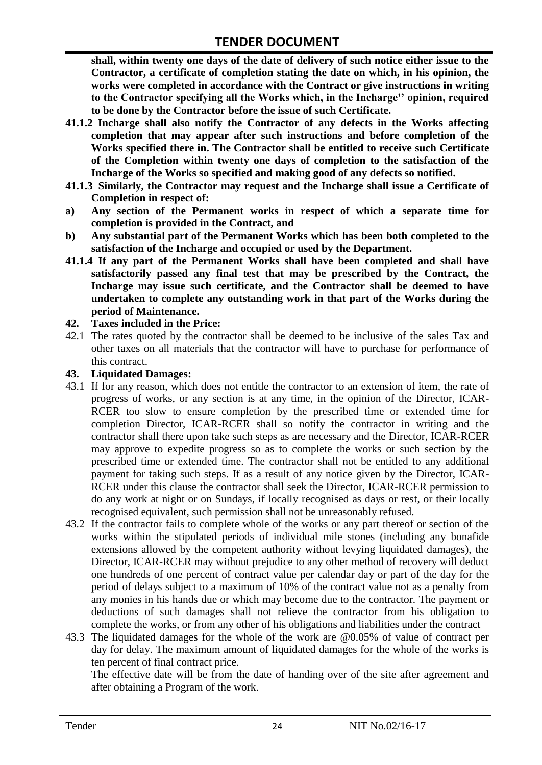**shall, within twenty one days of the date of delivery of such notice either issue to the Contractor, a certificate of completion stating the date on which, in his opinion, the works were completed in accordance with the Contract or give instructions in writing to the Contractor specifying all the Works which, in the Incharge'' opinion, required to be done by the Contractor before the issue of such Certificate.**

- **41.1.2 Incharge shall also notify the Contractor of any defects in the Works affecting completion that may appear after such instructions and before completion of the Works specified there in. The Contractor shall be entitled to receive such Certificate of the Completion within twenty one days of completion to the satisfaction of the Incharge of the Works so specified and making good of any defects so notified.**
- **41.1.3 Similarly, the Contractor may request and the Incharge shall issue a Certificate of Completion in respect of:**
- **a) Any section of the Permanent works in respect of which a separate time for completion is provided in the Contract, and**
- **b) Any substantial part of the Permanent Works which has been both completed to the satisfaction of the Incharge and occupied or used by the Department.**
- **41.1.4 If any part of the Permanent Works shall have been completed and shall have satisfactorily passed any final test that may be prescribed by the Contract, the Incharge may issue such certificate, and the Contractor shall be deemed to have undertaken to complete any outstanding work in that part of the Works during the period of Maintenance.**

#### **42. Taxes included in the Price:**

42.1 The rates quoted by the contractor shall be deemed to be inclusive of the sales Tax and other taxes on all materials that the contractor will have to purchase for performance of this contract.

#### **43. Liquidated Damages:**

- 43.1 If for any reason, which does not entitle the contractor to an extension of item, the rate of progress of works, or any section is at any time, in the opinion of the Director, ICAR-RCER too slow to ensure completion by the prescribed time or extended time for completion Director, ICAR-RCER shall so notify the contractor in writing and the contractor shall there upon take such steps as are necessary and the Director, ICAR-RCER may approve to expedite progress so as to complete the works or such section by the prescribed time or extended time. The contractor shall not be entitled to any additional payment for taking such steps. If as a result of any notice given by the Director, ICAR-RCER under this clause the contractor shall seek the Director, ICAR-RCER permission to do any work at night or on Sundays, if locally recognised as days or rest, or their locally recognised equivalent, such permission shall not be unreasonably refused.
- 43.2 If the contractor fails to complete whole of the works or any part thereof or section of the works within the stipulated periods of individual mile stones (including any bonafide extensions allowed by the competent authority without levying liquidated damages), the Director, ICAR-RCER may without prejudice to any other method of recovery will deduct one hundreds of one percent of contract value per calendar day or part of the day for the period of delays subject to a maximum of 10% of the contract value not as a penalty from any monies in his hands due or which may become due to the contractor. The payment or deductions of such damages shall not relieve the contractor from his obligation to complete the works, or from any other of his obligations and liabilities under the contract
- 43.3 The liquidated damages for the whole of the work are @0.05% of value of contract per day for delay. The maximum amount of liquidated damages for the whole of the works is ten percent of final contract price.

The effective date will be from the date of handing over of the site after agreement and after obtaining a Program of the work.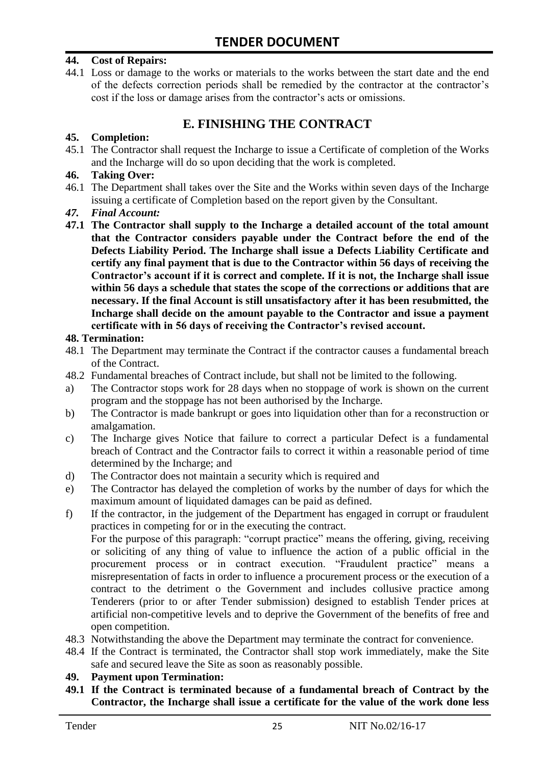#### **44. Cost of Repairs:**

44.1 Loss or damage to the works or materials to the works between the start date and the end of the defects correction periods shall be remedied by the contractor at the contractor"s cost if the loss or damage arises from the contractor's acts or omissions.

# **E. FINISHING THE CONTRACT**

#### **45. Completion:**

45.1 The Contractor shall request the Incharge to issue a Certificate of completion of the Works and the Incharge will do so upon deciding that the work is completed.

#### **46. Taking Over:**

- 46.1 The Department shall takes over the Site and the Works within seven days of the Incharge issuing a certificate of Completion based on the report given by the Consultant.
- *47. Final Account:*
- **47.1 The Contractor shall supply to the Incharge a detailed account of the total amount that the Contractor considers payable under the Contract before the end of the Defects Liability Period. The Incharge shall issue a Defects Liability Certificate and certify any final payment that is due to the Contractor within 56 days of receiving the Contractor's account if it is correct and complete. If it is not, the Incharge shall issue within 56 days a schedule that states the scope of the corrections or additions that are necessary. If the final Account is still unsatisfactory after it has been resubmitted, the Incharge shall decide on the amount payable to the Contractor and issue a payment certificate with in 56 days of receiving the Contractor's revised account.**

#### **48. Termination:**

- 48.1 The Department may terminate the Contract if the contractor causes a fundamental breach of the Contract.
- 48.2 Fundamental breaches of Contract include, but shall not be limited to the following.
- a) The Contractor stops work for 28 days when no stoppage of work is shown on the current program and the stoppage has not been authorised by the Incharge.
- b) The Contractor is made bankrupt or goes into liquidation other than for a reconstruction or amalgamation.
- c) The Incharge gives Notice that failure to correct a particular Defect is a fundamental breach of Contract and the Contractor fails to correct it within a reasonable period of time determined by the Incharge; and
- d) The Contractor does not maintain a security which is required and
- e) The Contractor has delayed the completion of works by the number of days for which the maximum amount of liquidated damages can be paid as defined.
- f) If the contractor, in the judgement of the Department has engaged in corrupt or fraudulent practices in competing for or in the executing the contract.

For the purpose of this paragraph: "corrupt practice" means the offering, giving, receiving or soliciting of any thing of value to influence the action of a public official in the procurement process or in contract execution. "Fraudulent practice" means a misrepresentation of facts in order to influence a procurement process or the execution of a contract to the detriment o the Government and includes collusive practice among Tenderers (prior to or after Tender submission) designed to establish Tender prices at artificial non-competitive levels and to deprive the Government of the benefits of free and open competition.

- 48.3 Notwithstanding the above the Department may terminate the contract for convenience.
- 48.4 If the Contract is terminated, the Contractor shall stop work immediately, make the Site safe and secured leave the Site as soon as reasonably possible.

#### **49. Payment upon Termination:**

**49.1 If the Contract is terminated because of a fundamental breach of Contract by the Contractor, the Incharge shall issue a certificate for the value of the work done less**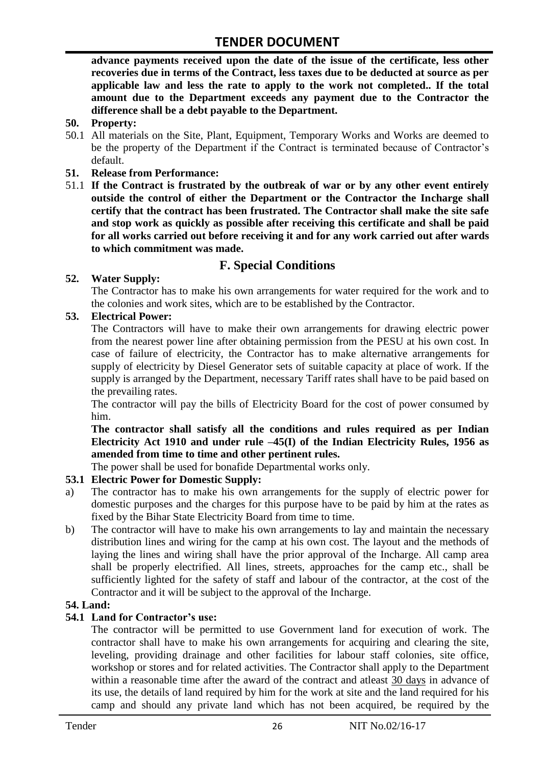**advance payments received upon the date of the issue of the certificate, less other recoveries due in terms of the Contract, less taxes due to be deducted at source as per applicable law and less the rate to apply to the work not completed.. If the total amount due to the Department exceeds any payment due to the Contractor the difference shall be a debt payable to the Department.**

- **50. Property:**
- 50.1 All materials on the Site, Plant, Equipment, Temporary Works and Works are deemed to be the property of the Department if the Contract is terminated because of Contractor's default.
- **51. Release from Performance:**
- 51.1 **If the Contract is frustrated by the outbreak of war or by any other event entirely outside the control of either the Department or the Contractor the Incharge shall certify that the contract has been frustrated. The Contractor shall make the site safe and stop work as quickly as possible after receiving this certificate and shall be paid for all works carried out before receiving it and for any work carried out after wards to which commitment was made.**

# **F. Special Conditions**

#### **52. Water Supply:**

The Contractor has to make his own arrangements for water required for the work and to the colonies and work sites, which are to be established by the Contractor.

#### **53. Electrical Power:**

The Contractors will have to make their own arrangements for drawing electric power from the nearest power line after obtaining permission from the PESU at his own cost. In case of failure of electricity, the Contractor has to make alternative arrangements for supply of electricity by Diesel Generator sets of suitable capacity at place of work. If the supply is arranged by the Department, necessary Tariff rates shall have to be paid based on the prevailing rates.

The contractor will pay the bills of Electricity Board for the cost of power consumed by him.

**The contractor shall satisfy all the conditions and rules required as per Indian Electricity Act 1910 and under rule –45(I) of the Indian Electricity Rules, 1956 as amended from time to time and other pertinent rules.**

The power shall be used for bonafide Departmental works only.

#### **53.1 Electric Power for Domestic Supply:**

- a) The contractor has to make his own arrangements for the supply of electric power for domestic purposes and the charges for this purpose have to be paid by him at the rates as fixed by the Bihar State Electricity Board from time to time.
- b) The contractor will have to make his own arrangements to lay and maintain the necessary distribution lines and wiring for the camp at his own cost. The layout and the methods of laying the lines and wiring shall have the prior approval of the Incharge. All camp area shall be properly electrified. All lines, streets, approaches for the camp etc., shall be sufficiently lighted for the safety of staff and labour of the contractor, at the cost of the Contractor and it will be subject to the approval of the Incharge.

#### **54. Land:**

#### **54.1 Land for Contractor's use:**

The contractor will be permitted to use Government land for execution of work. The contractor shall have to make his own arrangements for acquiring and clearing the site, leveling, providing drainage and other facilities for labour staff colonies, site office, workshop or stores and for related activities. The Contractor shall apply to the Department within a reasonable time after the award of the contract and atleast 30 days in advance of its use, the details of land required by him for the work at site and the land required for his camp and should any private land which has not been acquired, be required by the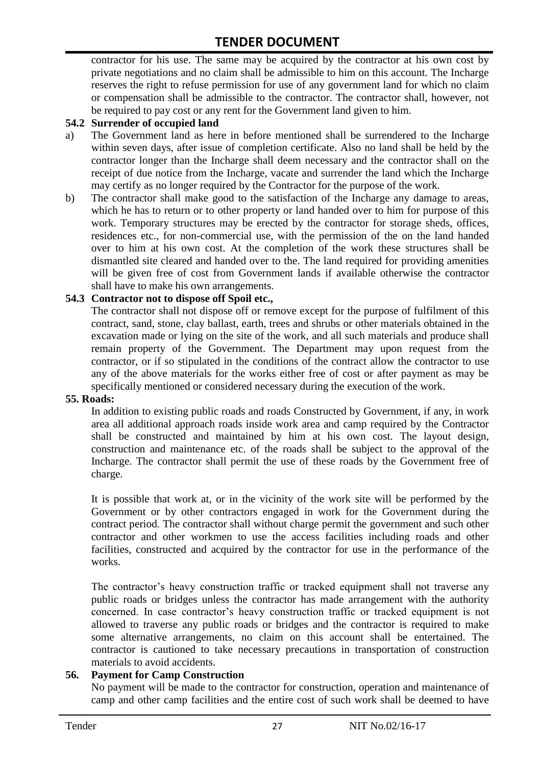contractor for his use. The same may be acquired by the contractor at his own cost by private negotiations and no claim shall be admissible to him on this account. The Incharge reserves the right to refuse permission for use of any government land for which no claim or compensation shall be admissible to the contractor. The contractor shall, however, not be required to pay cost or any rent for the Government land given to him.

#### **54.2 Surrender of occupied land**

- a) The Government land as here in before mentioned shall be surrendered to the Incharge within seven days, after issue of completion certificate. Also no land shall be held by the contractor longer than the Incharge shall deem necessary and the contractor shall on the receipt of due notice from the Incharge, vacate and surrender the land which the Incharge may certify as no longer required by the Contractor for the purpose of the work.
- b) The contractor shall make good to the satisfaction of the Incharge any damage to areas, which he has to return or to other property or land handed over to him for purpose of this work. Temporary structures may be erected by the contractor for storage sheds, offices, residences etc., for non-commercial use, with the permission of the on the land handed over to him at his own cost. At the completion of the work these structures shall be dismantled site cleared and handed over to the. The land required for providing amenities will be given free of cost from Government lands if available otherwise the contractor shall have to make his own arrangements.

#### **54.3 Contractor not to dispose off Spoil etc.,**

The contractor shall not dispose off or remove except for the purpose of fulfilment of this contract, sand, stone, clay ballast, earth, trees and shrubs or other materials obtained in the excavation made or lying on the site of the work, and all such materials and produce shall remain property of the Government. The Department may upon request from the contractor, or if so stipulated in the conditions of the contract allow the contractor to use any of the above materials for the works either free of cost or after payment as may be specifically mentioned or considered necessary during the execution of the work.

#### **55. Roads:**

In addition to existing public roads and roads Constructed by Government, if any, in work area all additional approach roads inside work area and camp required by the Contractor shall be constructed and maintained by him at his own cost. The layout design, construction and maintenance etc. of the roads shall be subject to the approval of the Incharge. The contractor shall permit the use of these roads by the Government free of charge.

It is possible that work at, or in the vicinity of the work site will be performed by the Government or by other contractors engaged in work for the Government during the contract period. The contractor shall without charge permit the government and such other contractor and other workmen to use the access facilities including roads and other facilities, constructed and acquired by the contractor for use in the performance of the works.

The contractor's heavy construction traffic or tracked equipment shall not traverse any public roads or bridges unless the contractor has made arrangement with the authority concerned. In case contractor"s heavy construction traffic or tracked equipment is not allowed to traverse any public roads or bridges and the contractor is required to make some alternative arrangements, no claim on this account shall be entertained. The contractor is cautioned to take necessary precautions in transportation of construction materials to avoid accidents.

#### **56. Payment for Camp Construction**

No payment will be made to the contractor for construction, operation and maintenance of camp and other camp facilities and the entire cost of such work shall be deemed to have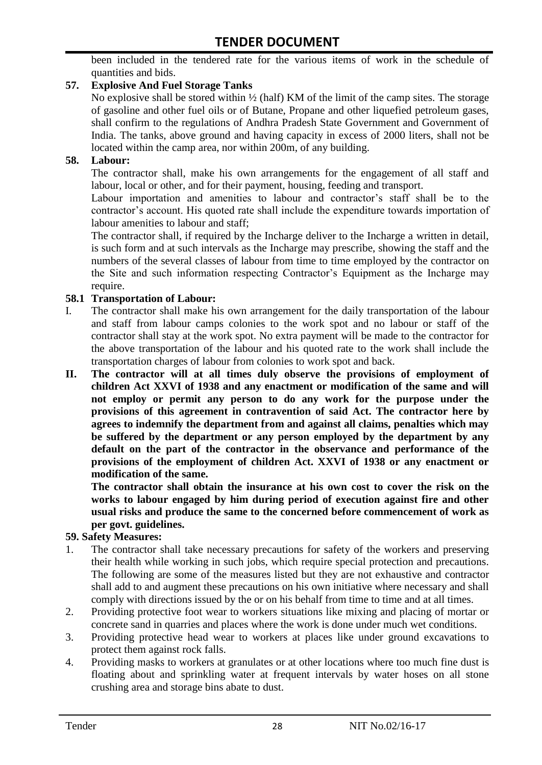been included in the tendered rate for the various items of work in the schedule of quantities and bids.

#### **57. Explosive And Fuel Storage Tanks**

No explosive shall be stored within  $\frac{1}{2}$  (half) KM of the limit of the camp sites. The storage of gasoline and other fuel oils or of Butane, Propane and other liquefied petroleum gases, shall confirm to the regulations of Andhra Pradesh State Government and Government of India. The tanks, above ground and having capacity in excess of 2000 liters, shall not be located within the camp area, nor within 200m, of any building.

#### **58. Labour:**

The contractor shall, make his own arrangements for the engagement of all staff and labour, local or other, and for their payment, housing, feeding and transport.

Labour importation and amenities to labour and contractor's staff shall be to the contractor's account. His quoted rate shall include the expenditure towards importation of labour amenities to labour and staff;

The contractor shall, if required by the Incharge deliver to the Incharge a written in detail, is such form and at such intervals as the Incharge may prescribe, showing the staff and the numbers of the several classes of labour from time to time employed by the contractor on the Site and such information respecting Contractor"s Equipment as the Incharge may require.

#### **58.1 Transportation of Labour:**

- I. The contractor shall make his own arrangement for the daily transportation of the labour and staff from labour camps colonies to the work spot and no labour or staff of the contractor shall stay at the work spot. No extra payment will be made to the contractor for the above transportation of the labour and his quoted rate to the work shall include the transportation charges of labour from colonies to work spot and back.
- **II. The contractor will at all times duly observe the provisions of employment of children Act XXVI of 1938 and any enactment or modification of the same and will not employ or permit any person to do any work for the purpose under the provisions of this agreement in contravention of said Act. The contractor here by agrees to indemnify the department from and against all claims, penalties which may be suffered by the department or any person employed by the department by any default on the part of the contractor in the observance and performance of the provisions of the employment of children Act. XXVI of 1938 or any enactment or modification of the same.**

**The contractor shall obtain the insurance at his own cost to cover the risk on the works to labour engaged by him during period of execution against fire and other usual risks and produce the same to the concerned before commencement of work as per govt. guidelines.**

#### **59. Safety Measures:**

- 1. The contractor shall take necessary precautions for safety of the workers and preserving their health while working in such jobs, which require special protection and precautions. The following are some of the measures listed but they are not exhaustive and contractor shall add to and augment these precautions on his own initiative where necessary and shall comply with directions issued by the or on his behalf from time to time and at all times.
- 2. Providing protective foot wear to workers situations like mixing and placing of mortar or concrete sand in quarries and places where the work is done under much wet conditions.
- 3. Providing protective head wear to workers at places like under ground excavations to protect them against rock falls.
- 4. Providing masks to workers at granulates or at other locations where too much fine dust is floating about and sprinkling water at frequent intervals by water hoses on all stone crushing area and storage bins abate to dust.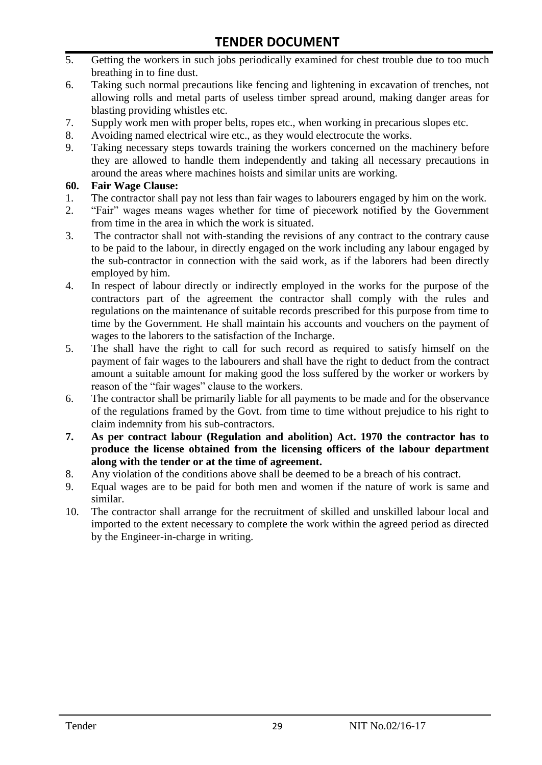- 5. Getting the workers in such jobs periodically examined for chest trouble due to too much breathing in to fine dust.
- 6. Taking such normal precautions like fencing and lightening in excavation of trenches, not allowing rolls and metal parts of useless timber spread around, making danger areas for blasting providing whistles etc.
- 7. Supply work men with proper belts, ropes etc., when working in precarious slopes etc.
- 8. Avoiding named electrical wire etc., as they would electrocute the works.
- 9. Taking necessary steps towards training the workers concerned on the machinery before they are allowed to handle them independently and taking all necessary precautions in around the areas where machines hoists and similar units are working.

#### **60. Fair Wage Clause:**

- 1. The contractor shall pay not less than fair wages to labourers engaged by him on the work.
- 2. "Fair" wages means wages whether for time of piecework notified by the Government from time in the area in which the work is situated.
- 3. The contractor shall not with-standing the revisions of any contract to the contrary cause to be paid to the labour, in directly engaged on the work including any labour engaged by the sub-contractor in connection with the said work, as if the laborers had been directly employed by him.
- 4. In respect of labour directly or indirectly employed in the works for the purpose of the contractors part of the agreement the contractor shall comply with the rules and regulations on the maintenance of suitable records prescribed for this purpose from time to time by the Government. He shall maintain his accounts and vouchers on the payment of wages to the laborers to the satisfaction of the Incharge.
- 5. The shall have the right to call for such record as required to satisfy himself on the payment of fair wages to the labourers and shall have the right to deduct from the contract amount a suitable amount for making good the loss suffered by the worker or workers by reason of the "fair wages" clause to the workers.
- 6. The contractor shall be primarily liable for all payments to be made and for the observance of the regulations framed by the Govt. from time to time without prejudice to his right to claim indemnity from his sub-contractors.
- **7. As per contract labour (Regulation and abolition) Act. 1970 the contractor has to produce the license obtained from the licensing officers of the labour department along with the tender or at the time of agreement.**
- 8. Any violation of the conditions above shall be deemed to be a breach of his contract.
- 9. Equal wages are to be paid for both men and women if the nature of work is same and similar.
- 10. The contractor shall arrange for the recruitment of skilled and unskilled labour local and imported to the extent necessary to complete the work within the agreed period as directed by the Engineer-in-charge in writing.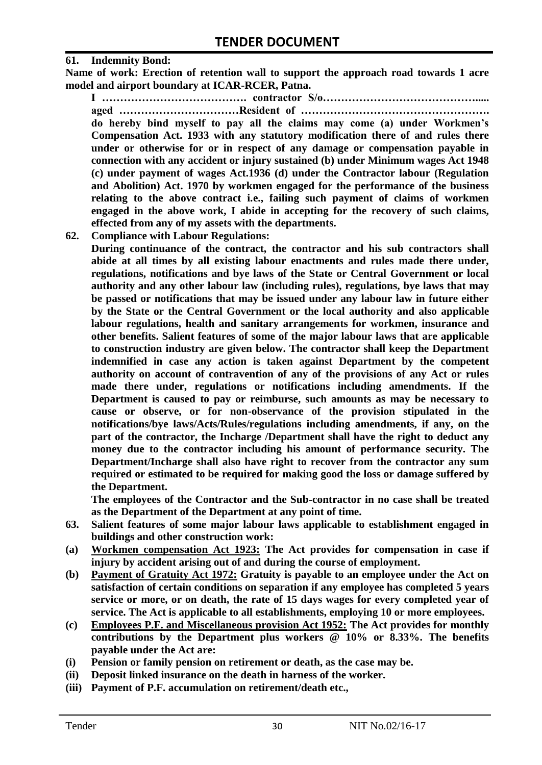#### **61. Indemnity Bond:**

**Name of work: Erection of retention wall to support the approach road towards 1 acre model and airport boundary at ICAR-RCER, Patna.**

**I …………………………………. contractor S/o……………………………………..... aged ……………………………Resident of ……………………………………………. do hereby bind myself to pay all the claims may come (a) under Workmen's Compensation Act. 1933 with any statutory modification there of and rules there under or otherwise for or in respect of any damage or compensation payable in connection with any accident or injury sustained (b) under Minimum wages Act 1948 (c) under payment of wages Act.1936 (d) under the Contractor labour (Regulation and Abolition) Act. 1970 by workmen engaged for the performance of the business relating to the above contract i.e., failing such payment of claims of workmen engaged in the above work, I abide in accepting for the recovery of such claims, effected from any of my assets with the departments.**

**62. Compliance with Labour Regulations:**

**During continuance of the contract, the contractor and his sub contractors shall abide at all times by all existing labour enactments and rules made there under, regulations, notifications and bye laws of the State or Central Government or local authority and any other labour law (including rules), regulations, bye laws that may be passed or notifications that may be issued under any labour law in future either by the State or the Central Government or the local authority and also applicable labour regulations, health and sanitary arrangements for workmen, insurance and other benefits. Salient features of some of the major labour laws that are applicable to construction industry are given below. The contractor shall keep the Department indemnified in case any action is taken against Department by the competent authority on account of contravention of any of the provisions of any Act or rules made there under, regulations or notifications including amendments. If the Department is caused to pay or reimburse, such amounts as may be necessary to cause or observe, or for non-observance of the provision stipulated in the notifications/bye laws/Acts/Rules/regulations including amendments, if any, on the part of the contractor, the Incharge /Department shall have the right to deduct any money due to the contractor including his amount of performance security. The Department/Incharge shall also have right to recover from the contractor any sum required or estimated to be required for making good the loss or damage suffered by the Department.**

**The employees of the Contractor and the Sub-contractor in no case shall be treated as the Department of the Department at any point of time.**

- **63. Salient features of some major labour laws applicable to establishment engaged in buildings and other construction work:**
- **(a) Workmen compensation Act 1923: The Act provides for compensation in case if injury by accident arising out of and during the course of employment.**
- **(b) Payment of Gratuity Act 1972: Gratuity is payable to an employee under the Act on satisfaction of certain conditions on separation if any employee has completed 5 years service or more, or on death, the rate of 15 days wages for every completed year of service. The Act is applicable to all establishments, employing 10 or more employees.**
- **(c) Employees P.F. and Miscellaneous provision Act 1952: The Act provides for monthly contributions by the Department plus workers @ 10% or 8.33%. The benefits payable under the Act are:**
- **(i) Pension or family pension on retirement or death, as the case may be.**
- **(ii) Deposit linked insurance on the death in harness of the worker.**
- **(iii) Payment of P.F. accumulation on retirement/death etc.,**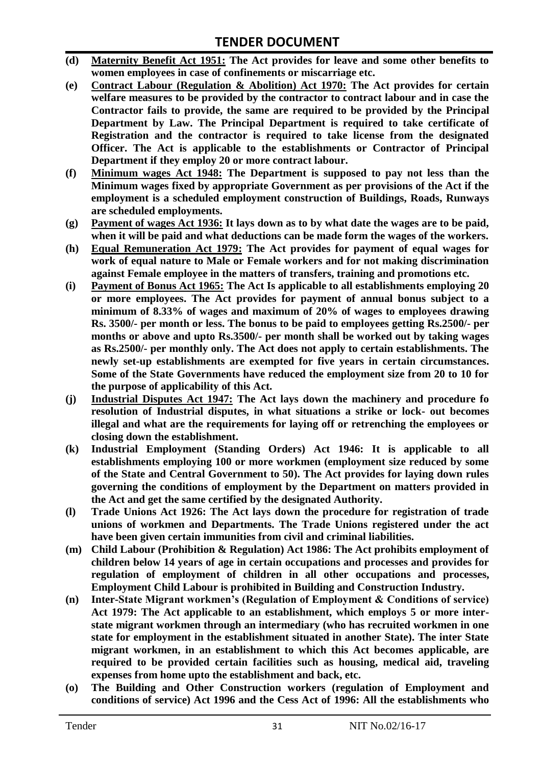- **(d) Maternity Benefit Act 1951: The Act provides for leave and some other benefits to women employees in case of confinements or miscarriage etc.**
- **(e) Contract Labour (Regulation & Abolition) Act 1970: The Act provides for certain welfare measures to be provided by the contractor to contract labour and in case the Contractor fails to provide, the same are required to be provided by the Principal Department by Law. The Principal Department is required to take certificate of Registration and the contractor is required to take license from the designated Officer. The Act is applicable to the establishments or Contractor of Principal Department if they employ 20 or more contract labour.**
- **(f) Minimum wages Act 1948: The Department is supposed to pay not less than the Minimum wages fixed by appropriate Government as per provisions of the Act if the employment is a scheduled employment construction of Buildings, Roads, Runways are scheduled employments.**
- **(g) Payment of wages Act 1936: It lays down as to by what date the wages are to be paid, when it will be paid and what deductions can be made form the wages of the workers.**
- **(h) Equal Remuneration Act 1979: The Act provides for payment of equal wages for work of equal nature to Male or Female workers and for not making discrimination against Female employee in the matters of transfers, training and promotions etc.**
- **(i) Payment of Bonus Act 1965: The Act Is applicable to all establishments employing 20 or more employees. The Act provides for payment of annual bonus subject to a minimum of 8.33% of wages and maximum of 20% of wages to employees drawing Rs. 3500/- per month or less. The bonus to be paid to employees getting Rs.2500/- per months or above and upto Rs.3500/- per month shall be worked out by taking wages as Rs.2500/- per monthly only. The Act does not apply to certain establishments. The newly set-up establishments are exempted for five years in certain circumstances. Some of the State Governments have reduced the employment size from 20 to 10 for the purpose of applicability of this Act.**
- **(j) Industrial Disputes Act 1947: The Act lays down the machinery and procedure fo resolution of Industrial disputes, in what situations a strike or lock- out becomes illegal and what are the requirements for laying off or retrenching the employees or closing down the establishment.**
- **(k) Industrial Employment (Standing Orders) Act 1946: It is applicable to all establishments employing 100 or more workmen (employment size reduced by some of the State and Central Government to 50). The Act provides for laying down rules governing the conditions of employment by the Department on matters provided in the Act and get the same certified by the designated Authority.**
- **(l) Trade Unions Act 1926: The Act lays down the procedure for registration of trade unions of workmen and Departments. The Trade Unions registered under the act have been given certain immunities from civil and criminal liabilities.**
- **(m) Child Labour (Prohibition & Regulation) Act 1986: The Act prohibits employment of children below 14 years of age in certain occupations and processes and provides for regulation of employment of children in all other occupations and processes, Employment Child Labour is prohibited in Building and Construction Industry.**
- **(n) Inter-State Migrant workmen's (Regulation of Employment & Conditions of service) Act 1979: The Act applicable to an establishment, which employs 5 or more interstate migrant workmen through an intermediary (who has recruited workmen in one state for employment in the establishment situated in another State). The inter State migrant workmen, in an establishment to which this Act becomes applicable, are required to be provided certain facilities such as housing, medical aid, traveling expenses from home upto the establishment and back, etc.**
- **(o) The Building and Other Construction workers (regulation of Employment and conditions of service) Act 1996 and the Cess Act of 1996: All the establishments who**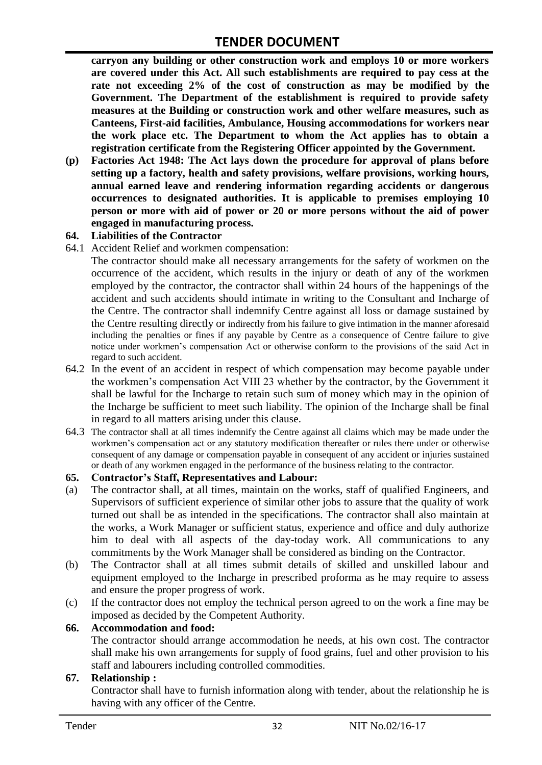**carryon any building or other construction work and employs 10 or more workers are covered under this Act. All such establishments are required to pay cess at the rate not exceeding 2% of the cost of construction as may be modified by the Government. The Department of the establishment is required to provide safety measures at the Building or construction work and other welfare measures, such as Canteens, First-aid facilities, Ambulance, Housing accommodations for workers near the work place etc. The Department to whom the Act applies has to obtain a registration certificate from the Registering Officer appointed by the Government.**

**(p) Factories Act 1948: The Act lays down the procedure for approval of plans before setting up a factory, health and safety provisions, welfare provisions, working hours, annual earned leave and rendering information regarding accidents or dangerous occurrences to designated authorities. It is applicable to premises employing 10 person or more with aid of power or 20 or more persons without the aid of power engaged in manufacturing process.**

#### **64. Liabilities of the Contractor**

64.1 Accident Relief and workmen compensation:

The contractor should make all necessary arrangements for the safety of workmen on the occurrence of the accident, which results in the injury or death of any of the workmen employed by the contractor, the contractor shall within 24 hours of the happenings of the accident and such accidents should intimate in writing to the Consultant and Incharge of the Centre. The contractor shall indemnify Centre against all loss or damage sustained by the Centre resulting directly or indirectly from his failure to give intimation in the manner aforesaid including the penalties or fines if any payable by Centre as a consequence of Centre failure to give notice under workmen"s compensation Act or otherwise conform to the provisions of the said Act in regard to such accident.

- 64.2 In the event of an accident in respect of which compensation may become payable under the workmen"s compensation Act VIII 23 whether by the contractor, by the Government it shall be lawful for the Incharge to retain such sum of money which may in the opinion of the Incharge be sufficient to meet such liability. The opinion of the Incharge shall be final in regard to all matters arising under this clause.
- 64.3 The contractor shall at all times indemnify the Centre against all claims which may be made under the workmen"s compensation act or any statutory modification thereafter or rules there under or otherwise consequent of any damage or compensation payable in consequent of any accident or injuries sustained or death of any workmen engaged in the performance of the business relating to the contractor.

#### **65. Contractor's Staff, Representatives and Labour:**

- (a) The contractor shall, at all times, maintain on the works, staff of qualified Engineers, and Supervisors of sufficient experience of similar other jobs to assure that the quality of work turned out shall be as intended in the specifications. The contractor shall also maintain at the works, a Work Manager or sufficient status, experience and office and duly authorize him to deal with all aspects of the day-today work. All communications to any commitments by the Work Manager shall be considered as binding on the Contractor.
- (b) The Contractor shall at all times submit details of skilled and unskilled labour and equipment employed to the Incharge in prescribed proforma as he may require to assess and ensure the proper progress of work.
- (c) If the contractor does not employ the technical person agreed to on the work a fine may be imposed as decided by the Competent Authority.

#### **66. Accommodation and food:**

The contractor should arrange accommodation he needs, at his own cost. The contractor shall make his own arrangements for supply of food grains, fuel and other provision to his staff and labourers including controlled commodities.

#### **67. Relationship :**

Contractor shall have to furnish information along with tender, about the relationship he is having with any officer of the Centre.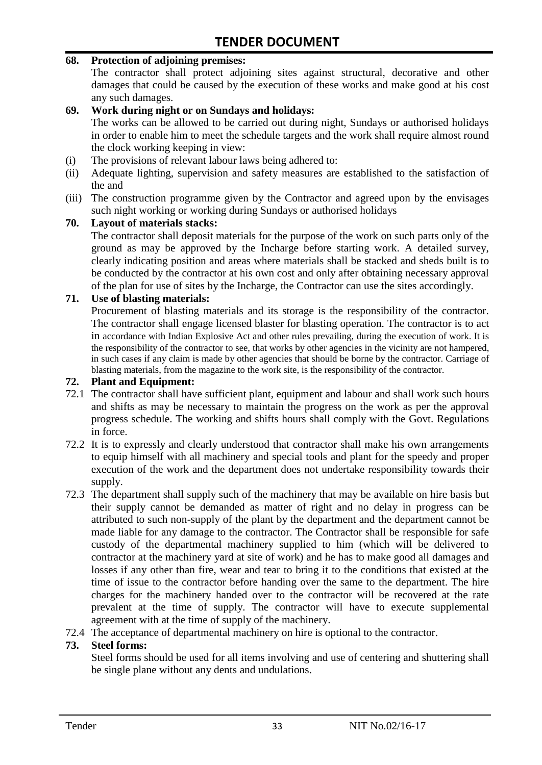#### **68. Protection of adjoining premises:**

The contractor shall protect adjoining sites against structural, decorative and other damages that could be caused by the execution of these works and make good at his cost any such damages.

#### **69. Work during night or on Sundays and holidays:**

The works can be allowed to be carried out during night, Sundays or authorised holidays in order to enable him to meet the schedule targets and the work shall require almost round the clock working keeping in view:

- (i) The provisions of relevant labour laws being adhered to:
- (ii) Adequate lighting, supervision and safety measures are established to the satisfaction of the and
- (iii) The construction programme given by the Contractor and agreed upon by the envisages such night working or working during Sundays or authorised holidays

#### **70. Layout of materials stacks:**

The contractor shall deposit materials for the purpose of the work on such parts only of the ground as may be approved by the Incharge before starting work. A detailed survey, clearly indicating position and areas where materials shall be stacked and sheds built is to be conducted by the contractor at his own cost and only after obtaining necessary approval of the plan for use of sites by the Incharge, the Contractor can use the sites accordingly.

#### **71. Use of blasting materials:**

Procurement of blasting materials and its storage is the responsibility of the contractor. The contractor shall engage licensed blaster for blasting operation. The contractor is to act in accordance with Indian Explosive Act and other rules prevailing, during the execution of work. It is the responsibility of the contractor to see, that works by other agencies in the vicinity are not hampered, in such cases if any claim is made by other agencies that should be borne by the contractor. Carriage of blasting materials, from the magazine to the work site, is the responsibility of the contractor.

#### **72. Plant and Equipment:**

- 72.1 The contractor shall have sufficient plant, equipment and labour and shall work such hours and shifts as may be necessary to maintain the progress on the work as per the approval progress schedule. The working and shifts hours shall comply with the Govt. Regulations in force.
- 72.2 It is to expressly and clearly understood that contractor shall make his own arrangements to equip himself with all machinery and special tools and plant for the speedy and proper execution of the work and the department does not undertake responsibility towards their supply.
- 72.3 The department shall supply such of the machinery that may be available on hire basis but their supply cannot be demanded as matter of right and no delay in progress can be attributed to such non-supply of the plant by the department and the department cannot be made liable for any damage to the contractor. The Contractor shall be responsible for safe custody of the departmental machinery supplied to him (which will be delivered to contractor at the machinery yard at site of work) and he has to make good all damages and losses if any other than fire, wear and tear to bring it to the conditions that existed at the time of issue to the contractor before handing over the same to the department. The hire charges for the machinery handed over to the contractor will be recovered at the rate prevalent at the time of supply. The contractor will have to execute supplemental agreement with at the time of supply of the machinery.
- 72.4 The acceptance of departmental machinery on hire is optional to the contractor.

#### **73. Steel forms:**

Steel forms should be used for all items involving and use of centering and shuttering shall be single plane without any dents and undulations.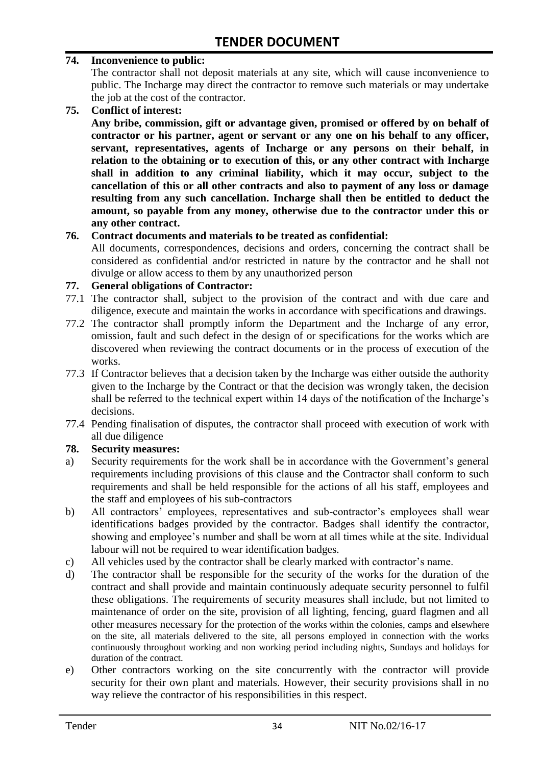#### **74. Inconvenience to public:**

The contractor shall not deposit materials at any site, which will cause inconvenience to public. The Incharge may direct the contractor to remove such materials or may undertake the job at the cost of the contractor.

**75. Conflict of interest:**

**Any bribe, commission, gift or advantage given, promised or offered by on behalf of contractor or his partner, agent or servant or any one on his behalf to any officer, servant, representatives, agents of Incharge or any persons on their behalf, in relation to the obtaining or to execution of this, or any other contract with Incharge shall in addition to any criminal liability, which it may occur, subject to the cancellation of this or all other contracts and also to payment of any loss or damage resulting from any such cancellation. Incharge shall then be entitled to deduct the amount, so payable from any money, otherwise due to the contractor under this or any other contract.**

#### **76. Contract documents and materials to be treated as confidential:**

All documents, correspondences, decisions and orders, concerning the contract shall be considered as confidential and/or restricted in nature by the contractor and he shall not divulge or allow access to them by any unauthorized person

#### **77. General obligations of Contractor:**

- 77.1 The contractor shall, subject to the provision of the contract and with due care and diligence, execute and maintain the works in accordance with specifications and drawings.
- 77.2 The contractor shall promptly inform the Department and the Incharge of any error, omission, fault and such defect in the design of or specifications for the works which are discovered when reviewing the contract documents or in the process of execution of the works.
- 77.3 If Contractor believes that a decision taken by the Incharge was either outside the authority given to the Incharge by the Contract or that the decision was wrongly taken, the decision shall be referred to the technical expert within 14 days of the notification of the Incharge's decisions.
- 77.4 Pending finalisation of disputes, the contractor shall proceed with execution of work with all due diligence

#### **78. Security measures:**

- a) Security requirements for the work shall be in accordance with the Government's general requirements including provisions of this clause and the Contractor shall conform to such requirements and shall be held responsible for the actions of all his staff, employees and the staff and employees of his sub-contractors
- b) All contractors' employees, representatives and sub-contractor's employees shall wear identifications badges provided by the contractor. Badges shall identify the contractor, showing and employee's number and shall be worn at all times while at the site. Individual labour will not be required to wear identification badges.
- c) All vehicles used by the contractor shall be clearly marked with contractor"s name.
- d) The contractor shall be responsible for the security of the works for the duration of the contract and shall provide and maintain continuously adequate security personnel to fulfil these obligations. The requirements of security measures shall include, but not limited to maintenance of order on the site, provision of all lighting, fencing, guard flagmen and all other measures necessary for the protection of the works within the colonies, camps and elsewhere on the site, all materials delivered to the site, all persons employed in connection with the works continuously throughout working and non working period including nights, Sundays and holidays for duration of the contract.
- e) Other contractors working on the site concurrently with the contractor will provide security for their own plant and materials. However, their security provisions shall in no way relieve the contractor of his responsibilities in this respect.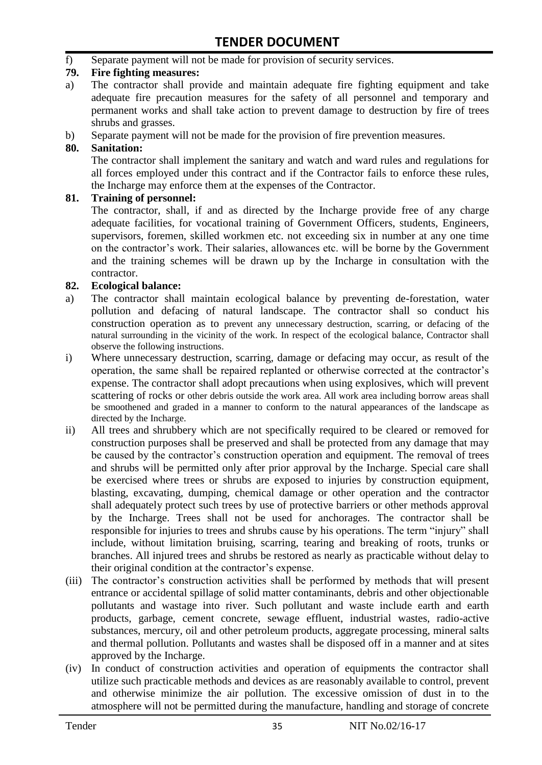f) Separate payment will not be made for provision of security services.

#### **79. Fire fighting measures:**

- a) The contractor shall provide and maintain adequate fire fighting equipment and take adequate fire precaution measures for the safety of all personnel and temporary and permanent works and shall take action to prevent damage to destruction by fire of trees shrubs and grasses.
- b) Separate payment will not be made for the provision of fire prevention measures.

#### **80. Sanitation:**

The contractor shall implement the sanitary and watch and ward rules and regulations for all forces employed under this contract and if the Contractor fails to enforce these rules, the Incharge may enforce them at the expenses of the Contractor.

#### **81. Training of personnel:**

The contractor, shall, if and as directed by the Incharge provide free of any charge adequate facilities, for vocational training of Government Officers, students, Engineers, supervisors, foremen, skilled workmen etc. not exceeding six in number at any one time on the contractor"s work. Their salaries, allowances etc. will be borne by the Government and the training schemes will be drawn up by the Incharge in consultation with the contractor.

#### **82. Ecological balance:**

- a) The contractor shall maintain ecological balance by preventing de-forestation, water pollution and defacing of natural landscape. The contractor shall so conduct his construction operation as to prevent any unnecessary destruction, scarring, or defacing of the natural surrounding in the vicinity of the work. In respect of the ecological balance, Contractor shall observe the following instructions.
- i) Where unnecessary destruction, scarring, damage or defacing may occur, as result of the operation, the same shall be repaired replanted or otherwise corrected at the contractor"s expense. The contractor shall adopt precautions when using explosives, which will prevent scattering of rocks or other debris outside the work area. All work area including borrow areas shall be smoothened and graded in a manner to conform to the natural appearances of the landscape as directed by the Incharge.
- ii) All trees and shrubbery which are not specifically required to be cleared or removed for construction purposes shall be preserved and shall be protected from any damage that may be caused by the contractor's construction operation and equipment. The removal of trees and shrubs will be permitted only after prior approval by the Incharge. Special care shall be exercised where trees or shrubs are exposed to injuries by construction equipment, blasting, excavating, dumping, chemical damage or other operation and the contractor shall adequately protect such trees by use of protective barriers or other methods approval by the Incharge. Trees shall not be used for anchorages. The contractor shall be responsible for injuries to trees and shrubs cause by his operations. The term "injury" shall include, without limitation bruising, scarring, tearing and breaking of roots, trunks or branches. All injured trees and shrubs be restored as nearly as practicable without delay to their original condition at the contractor"s expense.
- (iii) The contractor's construction activities shall be performed by methods that will present entrance or accidental spillage of solid matter contaminants, debris and other objectionable pollutants and wastage into river. Such pollutant and waste include earth and earth products, garbage, cement concrete, sewage effluent, industrial wastes, radio-active substances, mercury, oil and other petroleum products, aggregate processing, mineral salts and thermal pollution. Pollutants and wastes shall be disposed off in a manner and at sites approved by the Incharge.
- (iv) In conduct of construction activities and operation of equipments the contractor shall utilize such practicable methods and devices as are reasonably available to control, prevent and otherwise minimize the air pollution. The excessive omission of dust in to the atmosphere will not be permitted during the manufacture, handling and storage of concrete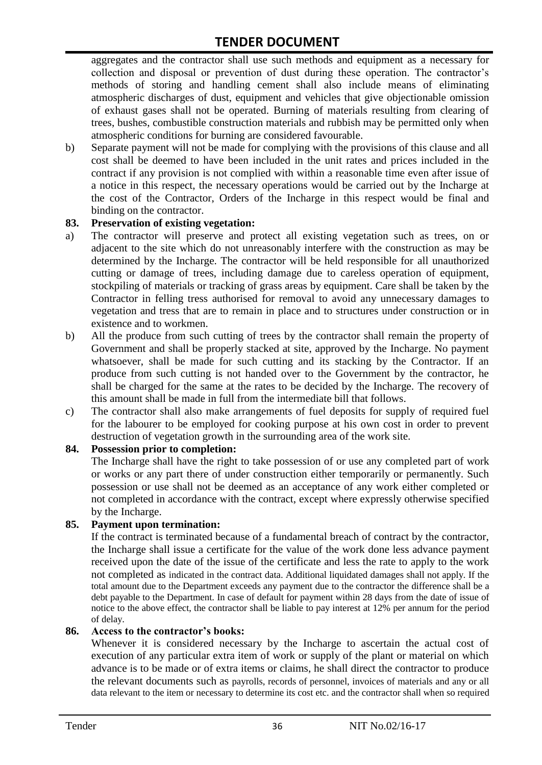aggregates and the contractor shall use such methods and equipment as a necessary for collection and disposal or prevention of dust during these operation. The contractor's methods of storing and handling cement shall also include means of eliminating atmospheric discharges of dust, equipment and vehicles that give objectionable omission of exhaust gases shall not be operated. Burning of materials resulting from clearing of trees, bushes, combustible construction materials and rubbish may be permitted only when atmospheric conditions for burning are considered favourable.

b) Separate payment will not be made for complying with the provisions of this clause and all cost shall be deemed to have been included in the unit rates and prices included in the contract if any provision is not complied with within a reasonable time even after issue of a notice in this respect, the necessary operations would be carried out by the Incharge at the cost of the Contractor, Orders of the Incharge in this respect would be final and binding on the contractor.

#### **83. Preservation of existing vegetation:**

- a) The contractor will preserve and protect all existing vegetation such as trees, on or adjacent to the site which do not unreasonably interfere with the construction as may be determined by the Incharge. The contractor will be held responsible for all unauthorized cutting or damage of trees, including damage due to careless operation of equipment, stockpiling of materials or tracking of grass areas by equipment. Care shall be taken by the Contractor in felling tress authorised for removal to avoid any unnecessary damages to vegetation and tress that are to remain in place and to structures under construction or in existence and to workmen.
- b) All the produce from such cutting of trees by the contractor shall remain the property of Government and shall be properly stacked at site, approved by the Incharge. No payment whatsoever, shall be made for such cutting and its stacking by the Contractor. If an produce from such cutting is not handed over to the Government by the contractor, he shall be charged for the same at the rates to be decided by the Incharge. The recovery of this amount shall be made in full from the intermediate bill that follows.
- c) The contractor shall also make arrangements of fuel deposits for supply of required fuel for the labourer to be employed for cooking purpose at his own cost in order to prevent destruction of vegetation growth in the surrounding area of the work site.

#### **84. Possession prior to completion:**

The Incharge shall have the right to take possession of or use any completed part of work or works or any part there of under construction either temporarily or permanently. Such possession or use shall not be deemed as an acceptance of any work either completed or not completed in accordance with the contract, except where expressly otherwise specified by the Incharge.

#### **85. Payment upon termination:**

If the contract is terminated because of a fundamental breach of contract by the contractor, the Incharge shall issue a certificate for the value of the work done less advance payment received upon the date of the issue of the certificate and less the rate to apply to the work not completed as indicated in the contract data. Additional liquidated damages shall not apply. If the total amount due to the Department exceeds any payment due to the contractor the difference shall be a debt payable to the Department. In case of default for payment within 28 days from the date of issue of notice to the above effect, the contractor shall be liable to pay interest at 12% per annum for the period of delay.

#### **86. Access to the contractor's books:**

Whenever it is considered necessary by the Incharge to ascertain the actual cost of execution of any particular extra item of work or supply of the plant or material on which advance is to be made or of extra items or claims, he shall direct the contractor to produce the relevant documents such as payrolls, records of personnel, invoices of materials and any or all data relevant to the item or necessary to determine its cost etc. and the contractor shall when so required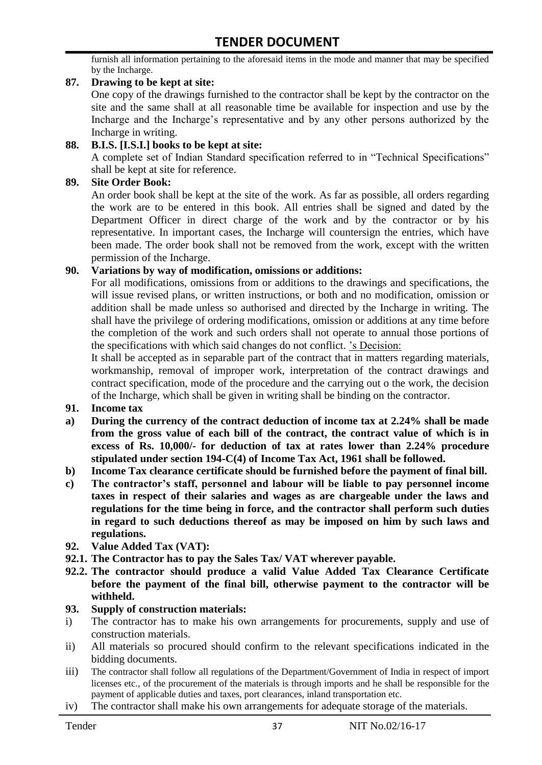furnish all information pertaining to the aforesaid items in the mode and manner that may be specified by the Incharge.

#### **87. Drawing to be kept at site:**

One copy of the drawings furnished to the contractor shall be kept by the contractor on the site and the same shall at all reasonable time be available for inspection and use by the Incharge and the Incharge"s representative and by any other persons authorized by the Incharge in writing.

#### **88. B.I.S. [I.S.I.] books to be kept at site:**

A complete set of Indian Standard specification referred to in "Technical Specifications" shall be kept at site for reference.

#### **89. Site Order Book:**

An order book shall be kept at the site of the work. As far as possible, all orders regarding the work are to be entered in this book. All entries shall be signed and dated by the Department Officer in direct charge of the work and by the contractor or by his representative. In important cases, the Incharge will countersign the entries, which have been made. The order book shall not be removed from the work, except with the written permission of the Incharge.

#### **90. Variations by way of modification, omissions or additions:**

For all modifications, omissions from or additions to the drawings and specifications, the will issue revised plans, or written instructions, or both and no modification, omission or addition shall be made unless so authorised and directed by the Incharge in writing. The shall have the privilege of ordering modifications, omission or additions at any time before the completion of the work and such orders shall not operate to annual those portions of the specifications with which said changes do not conflict. "s Decision:

It shall be accepted as in separable part of the contract that in matters regarding materials, workmanship, removal of improper work, interpretation of the contract drawings and contract specification, mode of the procedure and the carrying out o the work, the decision of the Incharge, which shall be given in writing shall be binding on the contractor.

- **91. Income tax**
- **a) During the currency of the contract deduction of income tax at 2.24% shall be made from the gross value of each bill of the contract, the contract value of which is in excess of Rs. 10,000/- for deduction of tax at rates lower than 2.24% procedure stipulated under section 194-C(4) of Income Tax Act, 1961 shall be followed.**
- **b) Income Tax clearance certificate should be furnished before the payment of final bill.**
- **c) The contractor's staff, personnel and labour will be liable to pay personnel income taxes in respect of their salaries and wages as are chargeable under the laws and regulations for the time being in force, and the contractor shall perform such duties in regard to such deductions thereof as may be imposed on him by such laws and regulations.**
- **92. Value Added Tax (VAT):**
- **92.1. The Contractor has to pay the Sales Tax/ VAT wherever payable.**
- **92.2. The contractor should produce a valid Value Added Tax Clearance Certificate before the payment of the final bill, otherwise payment to the contractor will be withheld.**

#### **93. Supply of construction materials:**

- i) The contractor has to make his own arrangements for procurements, supply and use of construction materials.
- ii) All materials so procured should confirm to the relevant specifications indicated in the bidding documents.
- iii) The contractor shall follow all regulations of the Department/Government of India in respect of import licenses etc., of the procurement of the materials is through imports and he shall be responsible for the payment of applicable duties and taxes, port clearances, inland transportation etc.
- iv) The contractor shall make his own arrangements for adequate storage of the materials.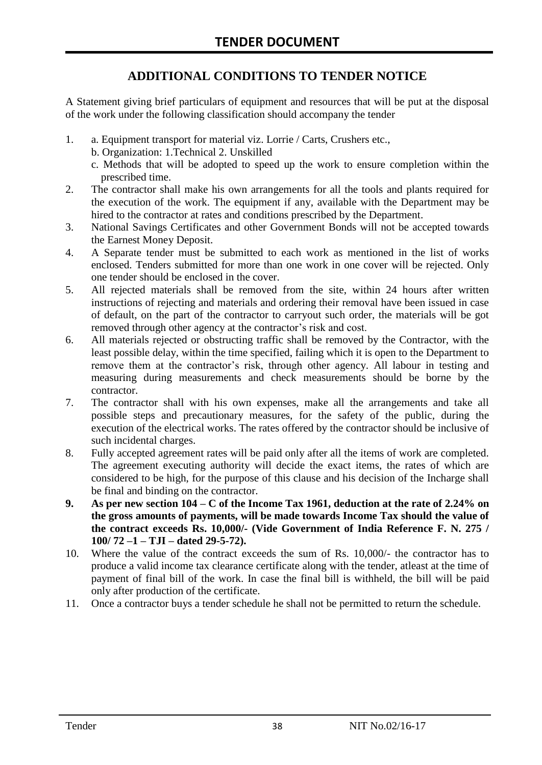# **ADDITIONAL CONDITIONS TO TENDER NOTICE**

A Statement giving brief particulars of equipment and resources that will be put at the disposal of the work under the following classification should accompany the tender

- 1. a. Equipment transport for material viz. Lorrie / Carts, Crushers etc.,
	- b. Organization: 1.Technical 2. Unskilled
	- c. Methods that will be adopted to speed up the work to ensure completion within the prescribed time.
- 2. The contractor shall make his own arrangements for all the tools and plants required for the execution of the work. The equipment if any, available with the Department may be hired to the contractor at rates and conditions prescribed by the Department.
- 3. National Savings Certificates and other Government Bonds will not be accepted towards the Earnest Money Deposit.
- 4. A Separate tender must be submitted to each work as mentioned in the list of works enclosed. Tenders submitted for more than one work in one cover will be rejected. Only one tender should be enclosed in the cover.
- 5. All rejected materials shall be removed from the site, within 24 hours after written instructions of rejecting and materials and ordering their removal have been issued in case of default, on the part of the contractor to carryout such order, the materials will be got removed through other agency at the contractor's risk and cost.
- 6. All materials rejected or obstructing traffic shall be removed by the Contractor, with the least possible delay, within the time specified, failing which it is open to the Department to remove them at the contractor's risk, through other agency. All labour in testing and measuring during measurements and check measurements should be borne by the contractor.
- 7. The contractor shall with his own expenses, make all the arrangements and take all possible steps and precautionary measures, for the safety of the public, during the execution of the electrical works. The rates offered by the contractor should be inclusive of such incidental charges.
- 8. Fully accepted agreement rates will be paid only after all the items of work are completed. The agreement executing authority will decide the exact items, the rates of which are considered to be high, for the purpose of this clause and his decision of the Incharge shall be final and binding on the contractor.
- **9. As per new section 104 – C of the Income Tax 1961, deduction at the rate of 2.24% on the gross amounts of payments, will be made towards Income Tax should the value of the contract exceeds Rs. 10,000/- (Vide Government of India Reference F. N. 275 / 100/ 72 –1 – TJI – dated 29-5-72).**
- 10. Where the value of the contract exceeds the sum of Rs. 10,000/- the contractor has to produce a valid income tax clearance certificate along with the tender, atleast at the time of payment of final bill of the work. In case the final bill is withheld, the bill will be paid only after production of the certificate.
- 11. Once a contractor buys a tender schedule he shall not be permitted to return the schedule.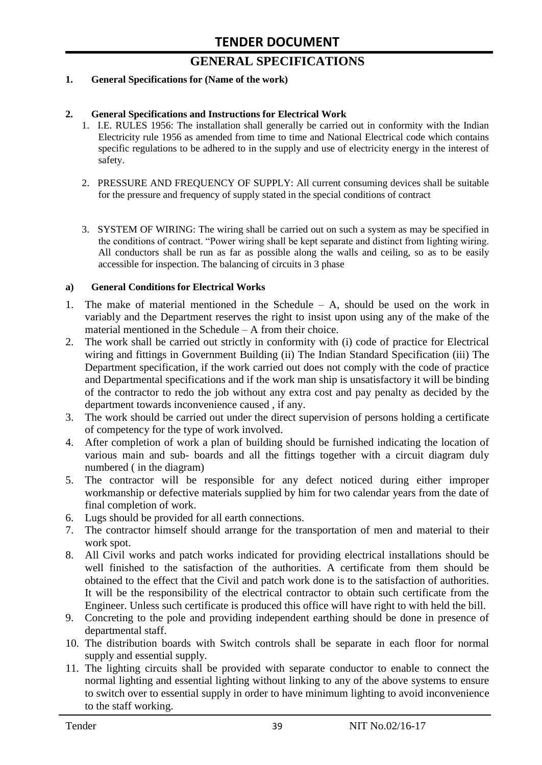# **GENERAL SPECIFICATIONS**

#### **1. General Specifications for (Name of the work)**

#### **2. General Specifications and Instructions for Electrical Work**

- 1. I.E. RULES 1956: The installation shall generally be carried out in conformity with the Indian Electricity rule 1956 as amended from time to time and National Electrical code which contains specific regulations to be adhered to in the supply and use of electricity energy in the interest of safety.
- 2. PRESSURE AND FREQUENCY OF SUPPLY: All current consuming devices shall be suitable for the pressure and frequency of supply stated in the special conditions of contract
- 3. SYSTEM OF WIRING: The wiring shall be carried out on such a system as may be specified in the conditions of contract. "Power wiring shall be kept separate and distinct from lighting wiring. All conductors shall be run as far as possible along the walls and ceiling, so as to be easily accessible for inspection. The balancing of circuits in 3 phase

#### **a) General Conditions for Electrical Works**

- 1. The make of material mentioned in the Schedule A, should be used on the work in variably and the Department reserves the right to insist upon using any of the make of the material mentioned in the Schedule – A from their choice.
- 2. The work shall be carried out strictly in conformity with (i) code of practice for Electrical wiring and fittings in Government Building (ii) The Indian Standard Specification (iii) The Department specification, if the work carried out does not comply with the code of practice and Departmental specifications and if the work man ship is unsatisfactory it will be binding of the contractor to redo the job without any extra cost and pay penalty as decided by the department towards inconvenience caused , if any.
- 3. The work should be carried out under the direct supervision of persons holding a certificate of competency for the type of work involved.
- 4. After completion of work a plan of building should be furnished indicating the location of various main and sub- boards and all the fittings together with a circuit diagram duly numbered ( in the diagram)
- 5. The contractor will be responsible for any defect noticed during either improper workmanship or defective materials supplied by him for two calendar years from the date of final completion of work.
- 6. Lugs should be provided for all earth connections.
- 7. The contractor himself should arrange for the transportation of men and material to their work spot.
- 8. All Civil works and patch works indicated for providing electrical installations should be well finished to the satisfaction of the authorities. A certificate from them should be obtained to the effect that the Civil and patch work done is to the satisfaction of authorities. It will be the responsibility of the electrical contractor to obtain such certificate from the Engineer. Unless such certificate is produced this office will have right to with held the bill.
- 9. Concreting to the pole and providing independent earthing should be done in presence of departmental staff.
- 10. The distribution boards with Switch controls shall be separate in each floor for normal supply and essential supply.
- 11. The lighting circuits shall be provided with separate conductor to enable to connect the normal lighting and essential lighting without linking to any of the above systems to ensure to switch over to essential supply in order to have minimum lighting to avoid inconvenience to the staff working.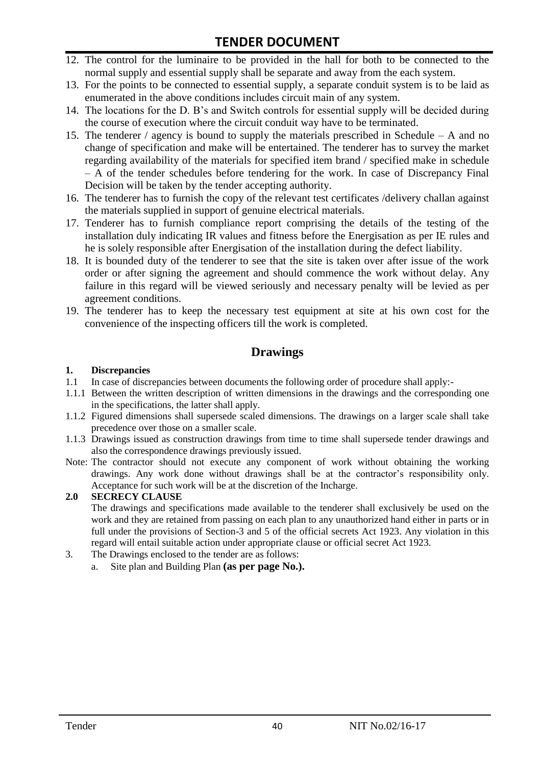- 12. The control for the luminaire to be provided in the hall for both to be connected to the normal supply and essential supply shall be separate and away from the each system.
- 13. For the points to be connected to essential supply, a separate conduit system is to be laid as enumerated in the above conditions includes circuit main of any system.
- 14. The locations for the D. B"s and Switch controls for essential supply will be decided during the course of execution where the circuit conduit way have to be terminated.
- 15. The tenderer / agency is bound to supply the materials prescribed in Schedule A and no change of specification and make will be entertained. The tenderer has to survey the market regarding availability of the materials for specified item brand / specified make in schedule – A of the tender schedules before tendering for the work. In case of Discrepancy Final Decision will be taken by the tender accepting authority.
- 16. The tenderer has to furnish the copy of the relevant test certificates /delivery challan against the materials supplied in support of genuine electrical materials.
- 17. Tenderer has to furnish compliance report comprising the details of the testing of the installation duly indicating IR values and fitness before the Energisation as per IE rules and he is solely responsible after Energisation of the installation during the defect liability.
- 18. It is bounded duty of the tenderer to see that the site is taken over after issue of the work order or after signing the agreement and should commence the work without delay. Any failure in this regard will be viewed seriously and necessary penalty will be levied as per agreement conditions.
- 19. The tenderer has to keep the necessary test equipment at site at his own cost for the convenience of the inspecting officers till the work is completed.

#### **Drawings**

#### **1. Discrepancies**

- 1.1 In case of discrepancies between documents the following order of procedure shall apply:-
- 1.1.1 Between the written description of written dimensions in the drawings and the corresponding one in the specifications, the latter shall apply.
- 1.1.2 Figured dimensions shall supersede scaled dimensions. The drawings on a larger scale shall take precedence over those on a smaller scale.
- 1.1.3 Drawings issued as construction drawings from time to time shall supersede tender drawings and also the correspondence drawings previously issued.
- Note: The contractor should not execute any component of work without obtaining the working drawings. Any work done without drawings shall be at the contractor"s responsibility only. Acceptance for such work will be at the discretion of the Incharge.

#### **2.0 SECRECY CLAUSE**

The drawings and specifications made available to the tenderer shall exclusively be used on the work and they are retained from passing on each plan to any unauthorized hand either in parts or in full under the provisions of Section-3 and 5 of the official secrets Act 1923. Any violation in this regard will entail suitable action under appropriate clause or official secret Act 1923.

- 3. The Drawings enclosed to the tender are as follows:
	- a. Site plan and Building Plan **(as per page No.).**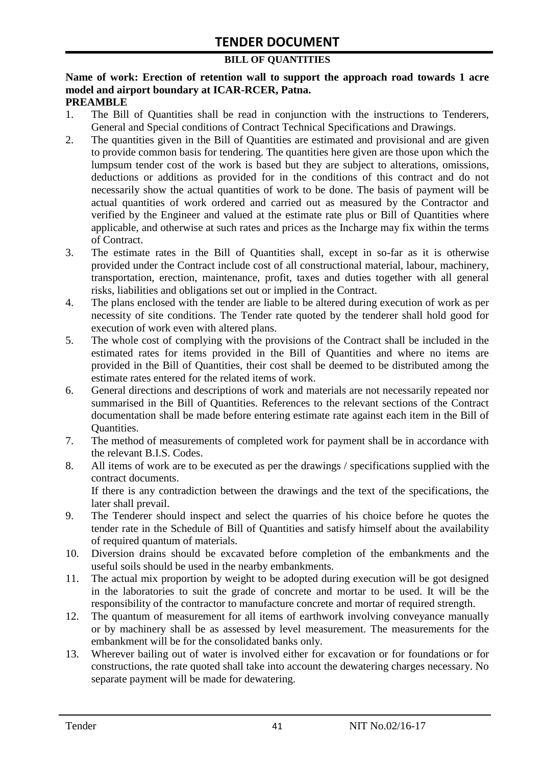#### **BILL OF QUANTITIES**

#### **Name of work: Erection of retention wall to support the approach road towards 1 acre model and airport boundary at ICAR-RCER, Patna. PREAMBLE**

- 1. The Bill of Quantities shall be read in conjunction with the instructions to Tenderers, General and Special conditions of Contract Technical Specifications and Drawings.
- 2. The quantities given in the Bill of Quantities are estimated and provisional and are given to provide common basis for tendering. The quantities here given are those upon which the lumpsum tender cost of the work is based but they are subject to alterations, omissions, deductions or additions as provided for in the conditions of this contract and do not necessarily show the actual quantities of work to be done. The basis of payment will be actual quantities of work ordered and carried out as measured by the Contractor and verified by the Engineer and valued at the estimate rate plus or Bill of Quantities where applicable, and otherwise at such rates and prices as the Incharge may fix within the terms of Contract.
- 3. The estimate rates in the Bill of Quantities shall, except in so-far as it is otherwise provided under the Contract include cost of all constructional material, labour, machinery, transportation, erection, maintenance, profit, taxes and duties together with all general risks, liabilities and obligations set out or implied in the Contract.
- 4. The plans enclosed with the tender are liable to be altered during execution of work as per necessity of site conditions. The Tender rate quoted by the tenderer shall hold good for execution of work even with altered plans.
- 5. The whole cost of complying with the provisions of the Contract shall be included in the estimated rates for items provided in the Bill of Quantities and where no items are provided in the Bill of Quantities, their cost shall be deemed to be distributed among the estimate rates entered for the related items of work.
- 6. General directions and descriptions of work and materials are not necessarily repeated nor summarised in the Bill of Quantities. References to the relevant sections of the Contract documentation shall be made before entering estimate rate against each item in the Bill of Quantities.
- 7. The method of measurements of completed work for payment shall be in accordance with the relevant B.I.S. Codes.
- 8. All items of work are to be executed as per the drawings / specifications supplied with the contract documents. If there is any contradiction between the drawings and the text of the specifications, the

later shall prevail.

- 9. The Tenderer should inspect and select the quarries of his choice before he quotes the tender rate in the Schedule of Bill of Quantities and satisfy himself about the availability of required quantum of materials.
- 10. Diversion drains should be excavated before completion of the embankments and the useful soils should be used in the nearby embankments.
- 11. The actual mix proportion by weight to be adopted during execution will be got designed in the laboratories to suit the grade of concrete and mortar to be used. It will be the responsibility of the contractor to manufacture concrete and mortar of required strength.
- 12. The quantum of measurement for all items of earthwork involving conveyance manually or by machinery shall be as assessed by level measurement. The measurements for the embankment will be for the consolidated banks only.
- 13. Wherever bailing out of water is involved either for excavation or for foundations or for constructions, the rate quoted shall take into account the dewatering charges necessary. No separate payment will be made for dewatering.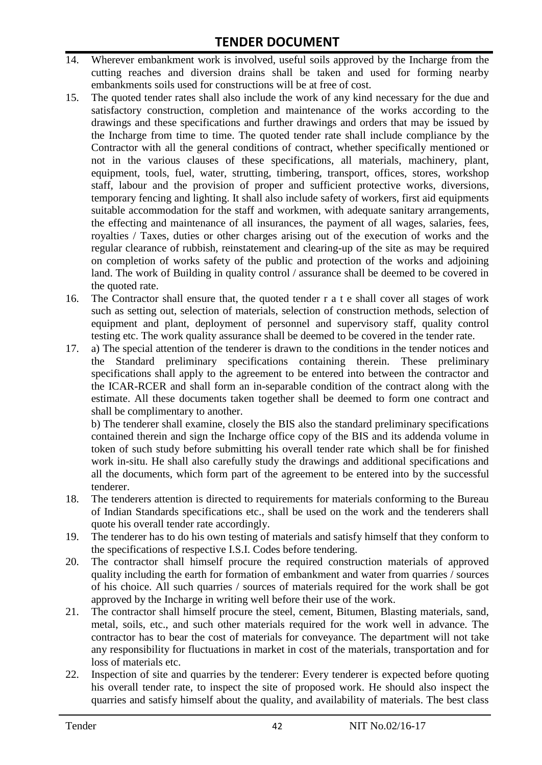- 14. Wherever embankment work is involved, useful soils approved by the Incharge from the cutting reaches and diversion drains shall be taken and used for forming nearby embankments soils used for constructions will be at free of cost.
- 15. The quoted tender rates shall also include the work of any kind necessary for the due and satisfactory construction, completion and maintenance of the works according to the drawings and these specifications and further drawings and orders that may be issued by the Incharge from time to time. The quoted tender rate shall include compliance by the Contractor with all the general conditions of contract, whether specifically mentioned or not in the various clauses of these specifications, all materials, machinery, plant, equipment, tools, fuel, water, strutting, timbering, transport, offices, stores, workshop staff, labour and the provision of proper and sufficient protective works, diversions, temporary fencing and lighting. It shall also include safety of workers, first aid equipments suitable accommodation for the staff and workmen, with adequate sanitary arrangements, the effecting and maintenance of all insurances, the payment of all wages, salaries, fees, royalties / Taxes, duties or other charges arising out of the execution of works and the regular clearance of rubbish, reinstatement and clearing-up of the site as may be required on completion of works safety of the public and protection of the works and adjoining land. The work of Building in quality control / assurance shall be deemed to be covered in the quoted rate.
- 16. The Contractor shall ensure that, the quoted tender r a t e shall cover all stages of work such as setting out, selection of materials, selection of construction methods, selection of equipment and plant, deployment of personnel and supervisory staff, quality control testing etc. The work quality assurance shall be deemed to be covered in the tender rate.
- 17. a) The special attention of the tenderer is drawn to the conditions in the tender notices and the Standard preliminary specifications containing therein. These preliminary specifications shall apply to the agreement to be entered into between the contractor and the ICAR-RCER and shall form an in-separable condition of the contract along with the estimate. All these documents taken together shall be deemed to form one contract and shall be complimentary to another.

b) The tenderer shall examine, closely the BIS also the standard preliminary specifications contained therein and sign the Incharge office copy of the BIS and its addenda volume in token of such study before submitting his overall tender rate which shall be for finished work in-situ. He shall also carefully study the drawings and additional specifications and all the documents, which form part of the agreement to be entered into by the successful tenderer.

- 18. The tenderers attention is directed to requirements for materials conforming to the Bureau of Indian Standards specifications etc., shall be used on the work and the tenderers shall quote his overall tender rate accordingly.
- 19. The tenderer has to do his own testing of materials and satisfy himself that they conform to the specifications of respective I.S.I. Codes before tendering.
- 20. The contractor shall himself procure the required construction materials of approved quality including the earth for formation of embankment and water from quarries / sources of his choice. All such quarries / sources of materials required for the work shall be got approved by the Incharge in writing well before their use of the work.
- 21. The contractor shall himself procure the steel, cement, Bitumen, Blasting materials, sand, metal, soils, etc., and such other materials required for the work well in advance. The contractor has to bear the cost of materials for conveyance. The department will not take any responsibility for fluctuations in market in cost of the materials, transportation and for loss of materials etc.
- 22. Inspection of site and quarries by the tenderer: Every tenderer is expected before quoting his overall tender rate, to inspect the site of proposed work. He should also inspect the quarries and satisfy himself about the quality, and availability of materials. The best class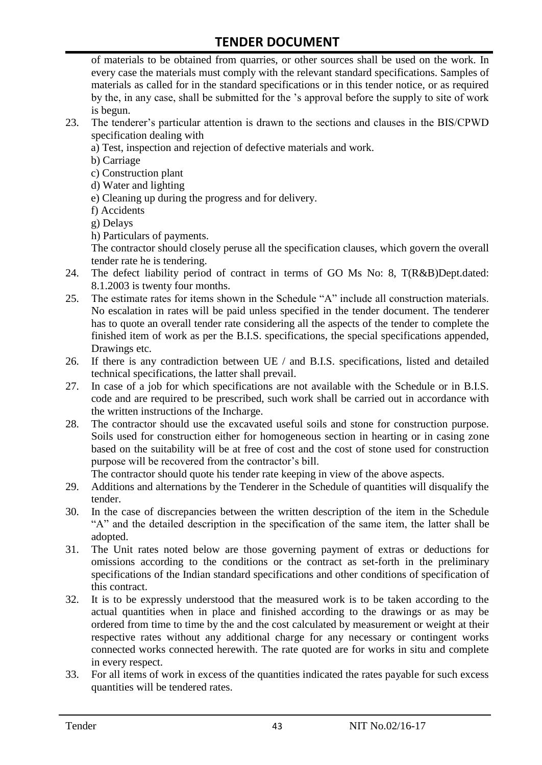of materials to be obtained from quarries, or other sources shall be used on the work. In every case the materials must comply with the relevant standard specifications. Samples of materials as called for in the standard specifications or in this tender notice, or as required by the, in any case, shall be submitted for the "s approval before the supply to site of work is begun.

- 23. The tenderer"s particular attention is drawn to the sections and clauses in the BIS/CPWD specification dealing with
	- a) Test, inspection and rejection of defective materials and work.
	- b) Carriage
	- c) Construction plant
	- d) Water and lighting
	- e) Cleaning up during the progress and for delivery.
	- f) Accidents
	- g) Delays
	- h) Particulars of payments.

The contractor should closely peruse all the specification clauses, which govern the overall tender rate he is tendering.

- 24. The defect liability period of contract in terms of GO Ms No: 8, T(R&B)Dept.dated: 8.1.2003 is twenty four months.
- 25. The estimate rates for items shown in the Schedule "A" include all construction materials. No escalation in rates will be paid unless specified in the tender document. The tenderer has to quote an overall tender rate considering all the aspects of the tender to complete the finished item of work as per the B.I.S. specifications, the special specifications appended, Drawings etc.
- 26. If there is any contradiction between UE / and B.I.S. specifications, listed and detailed technical specifications, the latter shall prevail.
- 27. In case of a job for which specifications are not available with the Schedule or in B.I.S. code and are required to be prescribed, such work shall be carried out in accordance with the written instructions of the Incharge.
- 28. The contractor should use the excavated useful soils and stone for construction purpose. Soils used for construction either for homogeneous section in hearting or in casing zone based on the suitability will be at free of cost and the cost of stone used for construction purpose will be recovered from the contractor's bill.

The contractor should quote his tender rate keeping in view of the above aspects.

- 29. Additions and alternations by the Tenderer in the Schedule of quantities will disqualify the tender.
- 30. In the case of discrepancies between the written description of the item in the Schedule "A" and the detailed description in the specification of the same item, the latter shall be adopted.
- 31. The Unit rates noted below are those governing payment of extras or deductions for omissions according to the conditions or the contract as set-forth in the preliminary specifications of the Indian standard specifications and other conditions of specification of this contract.
- 32. It is to be expressly understood that the measured work is to be taken according to the actual quantities when in place and finished according to the drawings or as may be ordered from time to time by the and the cost calculated by measurement or weight at their respective rates without any additional charge for any necessary or contingent works connected works connected herewith. The rate quoted are for works in situ and complete in every respect.
- 33. For all items of work in excess of the quantities indicated the rates payable for such excess quantities will be tendered rates.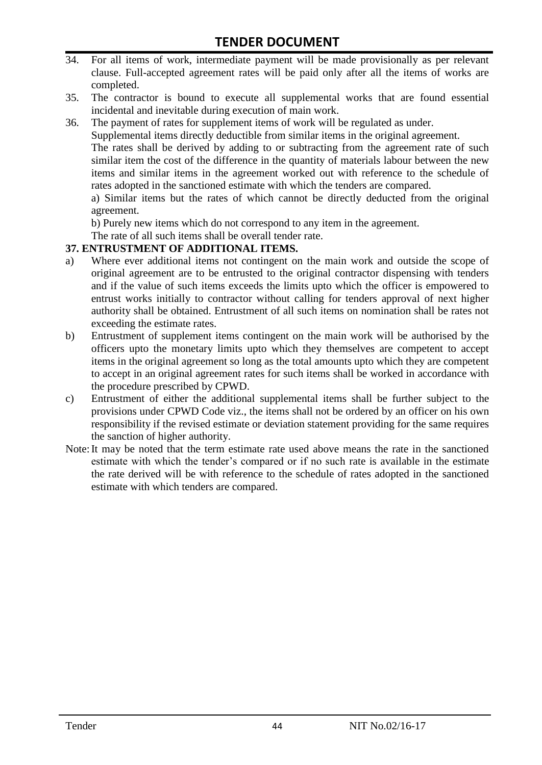- 34. For all items of work, intermediate payment will be made provisionally as per relevant clause. Full-accepted agreement rates will be paid only after all the items of works are completed.
- 35. The contractor is bound to execute all supplemental works that are found essential incidental and inevitable during execution of main work.
- 36. The payment of rates for supplement items of work will be regulated as under.

Supplemental items directly deductible from similar items in the original agreement.

The rates shall be derived by adding to or subtracting from the agreement rate of such similar item the cost of the difference in the quantity of materials labour between the new items and similar items in the agreement worked out with reference to the schedule of rates adopted in the sanctioned estimate with which the tenders are compared.

a) Similar items but the rates of which cannot be directly deducted from the original agreement.

b) Purely new items which do not correspond to any item in the agreement.

The rate of all such items shall be overall tender rate.

#### **37. ENTRUSTMENT OF ADDITIONAL ITEMS.**

- a) Where ever additional items not contingent on the main work and outside the scope of original agreement are to be entrusted to the original contractor dispensing with tenders and if the value of such items exceeds the limits upto which the officer is empowered to entrust works initially to contractor without calling for tenders approval of next higher authority shall be obtained. Entrustment of all such items on nomination shall be rates not exceeding the estimate rates.
- b) Entrustment of supplement items contingent on the main work will be authorised by the officers upto the monetary limits upto which they themselves are competent to accept items in the original agreement so long as the total amounts upto which they are competent to accept in an original agreement rates for such items shall be worked in accordance with the procedure prescribed by CPWD.
- c) Entrustment of either the additional supplemental items shall be further subject to the provisions under CPWD Code viz., the items shall not be ordered by an officer on his own responsibility if the revised estimate or deviation statement providing for the same requires the sanction of higher authority.
- Note:It may be noted that the term estimate rate used above means the rate in the sanctioned estimate with which the tender"s compared or if no such rate is available in the estimate the rate derived will be with reference to the schedule of rates adopted in the sanctioned estimate with which tenders are compared.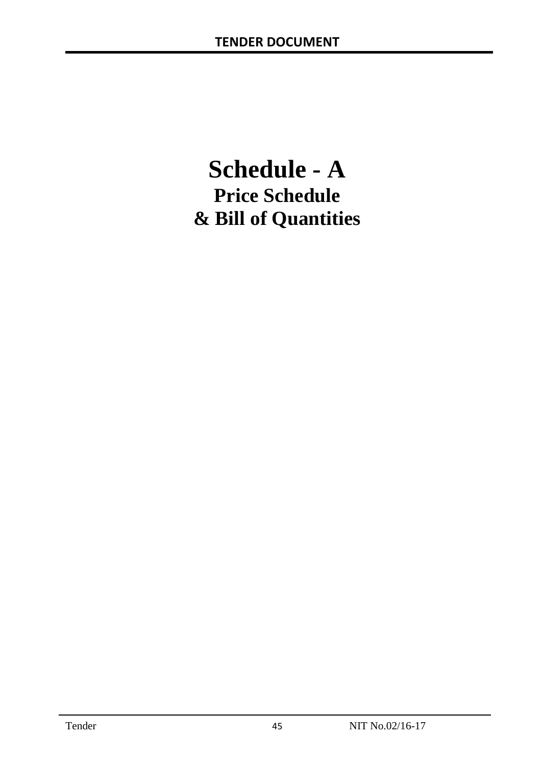# **Schedule - A Price Schedule & Bill of Quantities**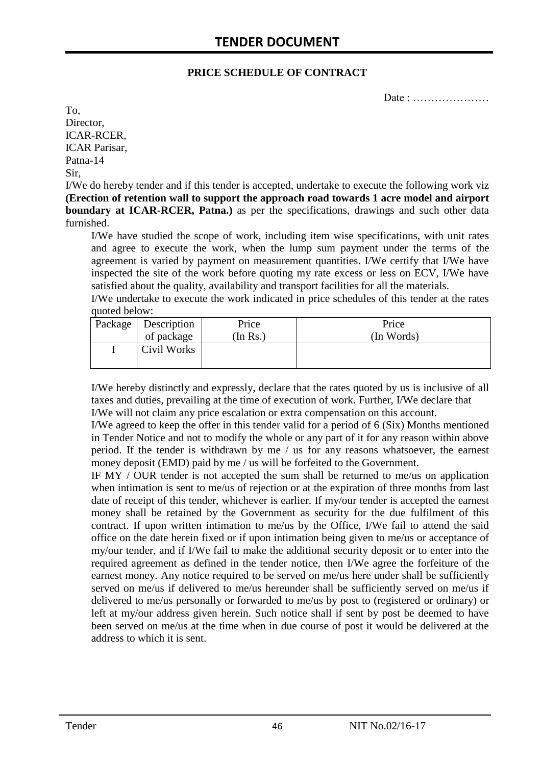#### **PRICE SCHEDULE OF CONTRACT**

Date : …………………

To, Director, ICAR-RCER, ICAR Parisar, Patna-14 Sir,

I/We do hereby tender and if this tender is accepted, undertake to execute the following work viz **(Erection of retention wall to support the approach road towards 1 acre model and airport boundary at ICAR-RCER, Patna.**) as per the specifications, drawings and such other data furnished.

I/We have studied the scope of work, including item wise specifications, with unit rates and agree to execute the work, when the lump sum payment under the terms of the agreement is varied by payment on measurement quantities. I/We certify that I/We have inspected the site of the work before quoting my rate excess or less on ECV, I/We have satisfied about the quality, availability and transport facilities for all the materials.

I/We undertake to execute the work indicated in price schedules of this tender at the rates quoted below:

| Package   Description | Price          | Price      |
|-----------------------|----------------|------------|
| of package            | $($ In Rs. $)$ | (In Words) |
| Civil Works           |                |            |

I/We hereby distinctly and expressly, declare that the rates quoted by us is inclusive of all taxes and duties, prevailing at the time of execution of work. Further, I/We declare that I/We will not claim any price escalation or extra compensation on this account.

I/We agreed to keep the offer in this tender valid for a period of 6 (Six) Months mentioned in Tender Notice and not to modify the whole or any part of it for any reason within above period. If the tender is withdrawn by me / us for any reasons whatsoever, the earnest money deposit (EMD) paid by me / us will be forfeited to the Government.

IF MY / OUR tender is not accepted the sum shall be returned to me/us on application when intimation is sent to me/us of rejection or at the expiration of three months from last date of receipt of this tender, whichever is earlier. If my/our tender is accepted the earnest money shall be retained by the Government as security for the due fulfilment of this contract. If upon written intimation to me/us by the Office, I/We fail to attend the said office on the date herein fixed or if upon intimation being given to me/us or acceptance of my/our tender, and if I/We fail to make the additional security deposit or to enter into the required agreement as defined in the tender notice, then I/We agree the forfeiture of the earnest money. Any notice required to be served on me/us here under shall be sufficiently served on me/us if delivered to me/us hereunder shall be sufficiently served on me/us if delivered to me/us personally or forwarded to me/us by post to (registered or ordinary) or left at my/our address given herein. Such notice shall if sent by post be deemed to have been served on me/us at the time when in due course of post it would be delivered at the address to which it is sent.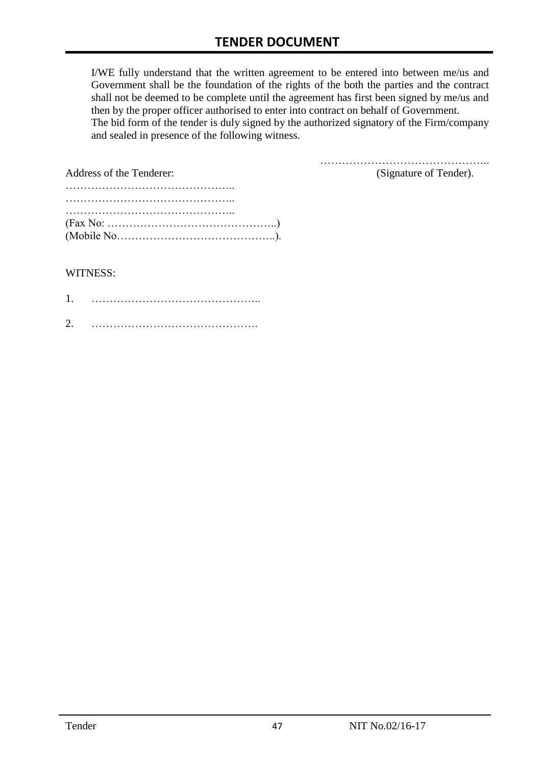I/WE fully understand that the written agreement to be entered into between me/us and Government shall be the foundation of the rights of the both the parties and the contract shall not be deemed to be complete until the agreement has first been signed by me/us and then by the proper officer authorised to enter into contract on behalf of Government. The bid form of the tender is duly signed by the authorized signatory of the Firm/company and sealed in presence of the following witness.

| Address of the Tenderer:                                                                  | (Signature of Tender). |
|-------------------------------------------------------------------------------------------|------------------------|
|                                                                                           |                        |
|                                                                                           |                        |
|                                                                                           |                        |
| $(Fax No: \dots \dots \dots \dots \dots \dots \dots \dots \dots \dots \dots \dots \dots)$ |                        |
|                                                                                           |                        |

#### WITNESS:

| ⌒ |  |
|---|--|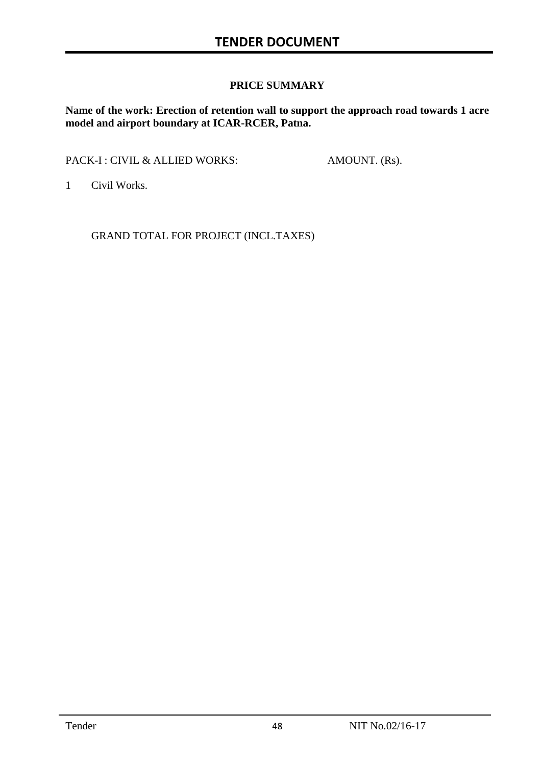#### **PRICE SUMMARY**

**Name of the work: Erection of retention wall to support the approach road towards 1 acre model and airport boundary at ICAR-RCER, Patna.**

PACK-I : CIVIL & ALLIED WORKS: AMOUNT. (Rs).

1 Civil Works.

GRAND TOTAL FOR PROJECT (INCL.TAXES)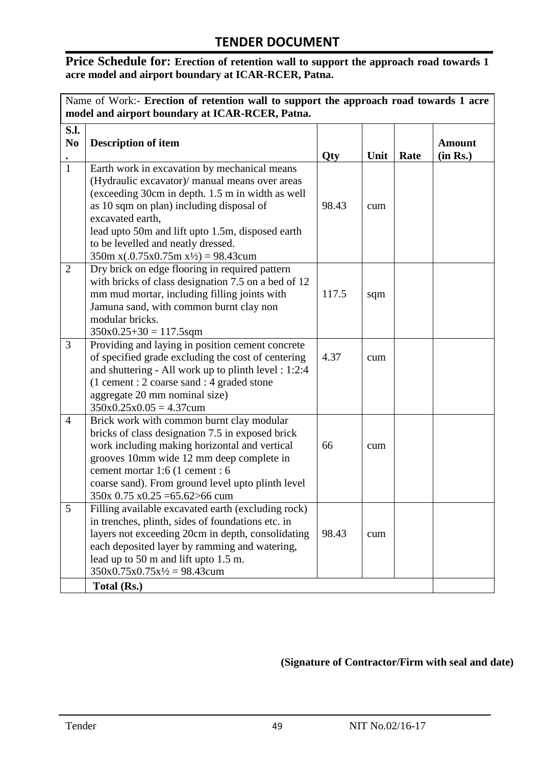#### Price Schedule for: Erection of retention wall to support the approach road towards 1 **acre model and airport boundary at ICAR-RCER, Patna.**

|                        | Name of Work:- Erection of retention wall to support the approach road towards 1 acre<br>model and airport boundary at ICAR-RCER, Patna.                                                                                                                                                                                                                      |       |      |      |                           |
|------------------------|---------------------------------------------------------------------------------------------------------------------------------------------------------------------------------------------------------------------------------------------------------------------------------------------------------------------------------------------------------------|-------|------|------|---------------------------|
| S.l.<br>N <sub>0</sub> | <b>Description of item</b>                                                                                                                                                                                                                                                                                                                                    | Qty   | Unit | Rate | <b>Amount</b><br>(in Rs.) |
| $\mathbf{1}$           | Earth work in excavation by mechanical means<br>(Hydraulic excavator)/ manual means over areas<br>(exceeding 30cm in depth. 1.5 m in width as well<br>as 10 sqm on plan) including disposal of<br>excavated earth,<br>lead upto 50m and lift upto 1.5m, disposed earth<br>to be levelled and neatly dressed.<br>$350m x(.0.75x0.75m x\frac{1}{2}) = 98.43cum$ | 98.43 | cum  |      |                           |
| $\overline{2}$         | Dry brick on edge flooring in required pattern<br>with bricks of class designation 7.5 on a bed of 12<br>mm mud mortar, including filling joints with<br>Jamuna sand, with common burnt clay non<br>modular bricks.<br>$350x0.25+30 = 117.5$ sqm                                                                                                              | 117.5 | sqm  |      |                           |
| 3                      | Providing and laying in position cement concrete<br>of specified grade excluding the cost of centering<br>and shuttering - All work up to plinth level : 1:2:4<br>(1 cement : 2 coarse sand : 4 graded stone<br>aggregate 20 mm nominal size)<br>$350x0.25x0.05 = 4.37cum$                                                                                    | 4.37  | cum  |      |                           |
| $\overline{4}$         | Brick work with common burnt clay modular<br>bricks of class designation 7.5 in exposed brick<br>work including making horizontal and vertical<br>grooves 10mm wide 12 mm deep complete in<br>cement mortar 1:6 (1 cement : 6<br>coarse sand). From ground level upto plinth level<br>$350x$ 0.75 x0.25 = 65.62 > 66 cum                                      | 66    | cum  |      |                           |
| 5                      | Filling available excavated earth (excluding rock)<br>in trenches, plinth, sides of foundations etc. in<br>layers not exceeding 20cm in depth, consolidating<br>each deposited layer by ramming and watering,<br>lead up to 50 m and lift upto 1.5 m.<br>$350x0.75x0.75x\frac{1}{2} = 98.43c$ cum<br>Total (Rs.)                                              | 98.43 | cum  |      |                           |

**(Signature of Contractor/Firm with seal and date)**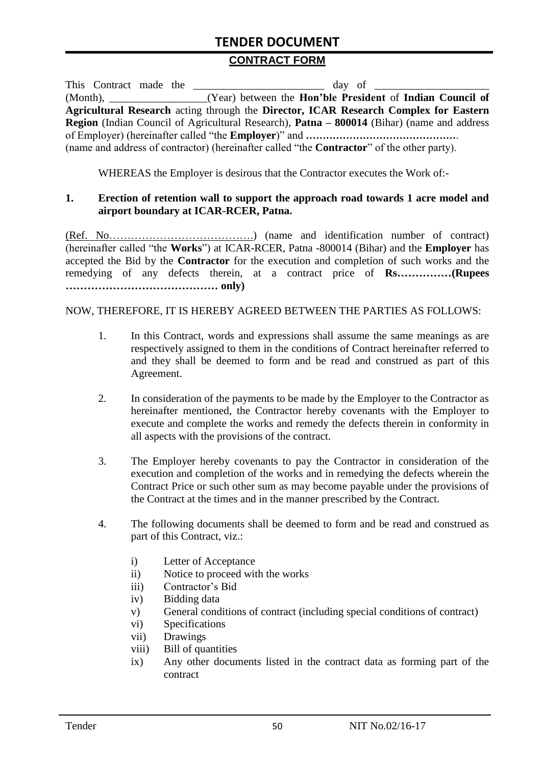#### **CONTRACT FORM**

| This Contract made the | day of                                                                                             |
|------------------------|----------------------------------------------------------------------------------------------------|
|                        | (Month), _________________(Year) between the <b>Hon'ble President</b> of <b>Indian Council of</b>  |
|                        | Agricultural Research acting through the Director, ICAR Research Complex for Eastern               |
|                        | Region (Indian Council of Agricultural Research), Patna – 800014 (Bihar) (name and address         |
|                        |                                                                                                    |
|                        | (name and address of contractor) (hereinafter called "the <b>Contractor</b> " of the other party). |

WHEREAS the Employer is desirous that the Contractor executes the Work of:-

#### **1. Erection of retention wall to support the approach road towards 1 acre model and airport boundary at ICAR-RCER, Patna.**

(Ref. No………………………………….) (name and identification number of contract) (hereinafter called "the **Works**") at ICAR-RCER, Patna -800014 (Bihar) and the **Employer** has accepted the Bid by the **Contractor** for the execution and completion of such works and the remedying of any defects therein, at a contract price of **Rs……………(Rupees …………………………………… only)**

#### NOW, THEREFORE, IT IS HEREBY AGREED BETWEEN THE PARTIES AS FOLLOWS:

- 1. In this Contract, words and expressions shall assume the same meanings as are respectively assigned to them in the conditions of Contract hereinafter referred to and they shall be deemed to form and be read and construed as part of this Agreement.
- 2. In consideration of the payments to be made by the Employer to the Contractor as hereinafter mentioned, the Contractor hereby covenants with the Employer to execute and complete the works and remedy the defects therein in conformity in all aspects with the provisions of the contract.
- 3. The Employer hereby covenants to pay the Contractor in consideration of the execution and completion of the works and in remedying the defects wherein the Contract Price or such other sum as may become payable under the provisions of the Contract at the times and in the manner prescribed by the Contract.
- 4. The following documents shall be deemed to form and be read and construed as part of this Contract, viz.:
	- i) Letter of Acceptance
	- ii) Notice to proceed with the works
	- iii) Contractor's Bid
	- iv) Bidding data
	- v) General conditions of contract (including special conditions of contract)
	- vi) Specifications
	- vii) Drawings
	- viii) Bill of quantities
	- ix) Any other documents listed in the contract data as forming part of the contract